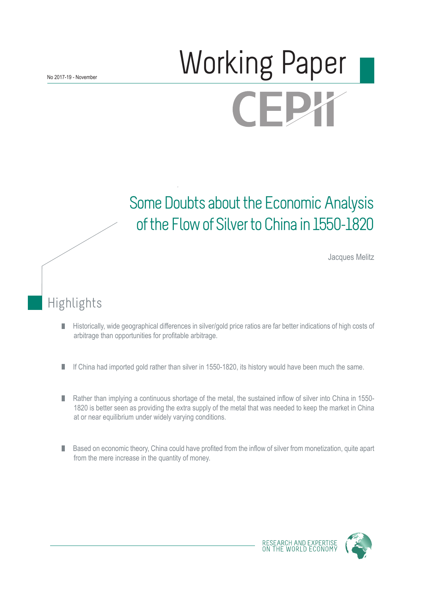# Norking Paper **CEPX**

# Some Doubts about the Economic Analysis of the Flow of Silver to China in 1550-1820

Jacques Melitz

## Highlights

- Historically, wide geographical differences in silver/gold price ratios are far better indications of high costs of П arbitrage than opportunities for profitable arbitrage.
- If China had imported gold rather than silver in 1550-1820, its history would have been much the same. П
- Rather than implying a continuous shortage of the metal, the sustained inflow of silver into China in 1550- П 1820 is better seen as providing the extra supply of the metal that was needed to keep the market in China at or near equilibrium under widely varying conditions.
- Based on economic theory, China could have profited from the inflow of silver from monetization, quite apart П from the mere increase in the quantity of money.



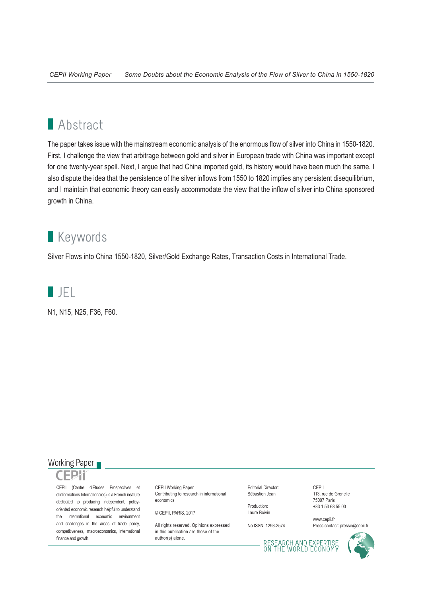## **Abstract**

The paper takes issue with the mainstream economic analysis of the enormous flow of silver into China in 1550-1820. First, I challenge the view that arbitrage between gold and silver in European trade with China was important except for one twenty-year spell. Next, I argue that had China imported gold, its history would have been much the same. I also dispute the idea that the persistence of the silver inflows from 1550 to 1820 implies any persistent disequilibrium, and I maintain that economic theory can easily accommodate the view that the inflow of silver into China sponsored growth in China.

## **Keywords**

Silver Flows into China 1550-1820, Silver/Gold Exchange Rates, Transaction Costs in International Trade.



N1, N15, N25, F36, F60.



CEPII (Centre d'Etudes Prospectives et d'Informations Internationales) is a French institute dedicated to producing independent, policyoriented economic research helpful to understand the international economic environment and challenges in the areas of trade policy, competitiveness, macroeconomics, international finance and growth.

CEPII Working Paper Contributing to research in international economics

© CEPII, PARIS, 2017

All rights reserved. Opinions expressed in this publication are those of the author(s) alone.

Editorial Director: Sébastien Jean

Production: Laure Boivin

No ISSN: 1293-2574

CEPII 113, rue de Grenelle 75007 Paris +33 1 53 68 55 00

www.cepii.fr Press contact: presse@cepii.fr

RESEARCH AND EXPERTISE<br>ON THE WORLD ECONOMY

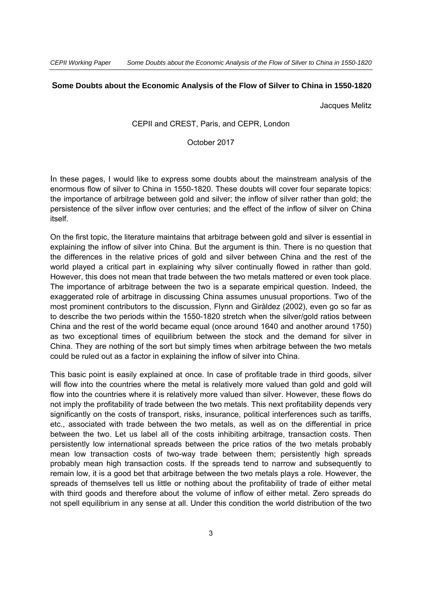#### **Some Doubts about the Economic Analysis of the Flow of Silver to China in 1550-1820**

Jacques Melitz

#### CEPII and CREST, Paris, and CEPR, London

#### October 2017

In these pages, I would like to express some doubts about the mainstream analysis of the enormous flow of silver to China in 1550-1820. These doubts will cover four separate topics: the importance of arbitrage between gold and silver; the inflow of silver rather than gold; the persistence of the silver inflow over centuries; and the effect of the inflow of silver on China itself.

On the first topic, the literature maintains that arbitrage between gold and silver is essential in explaining the inflow of silver into China. But the argument is thin. There is no question that the differences in the relative prices of gold and silver between China and the rest of the world played a critical part in explaining why silver continually flowed in rather than gold. However, this does not mean that trade between the two metals mattered or even took place. The importance of arbitrage between the two is a separate empirical question. Indeed, the exaggerated role of arbitrage in discussing China assumes unusual proportions. Two of the most prominent contributors to the discussion, Flynn and Giràldez (2002), even go so far as to describe the two periods within the 1550-1820 stretch when the silver/gold ratios between China and the rest of the world became equal (once around 1640 and another around 1750) as two exceptional times of equilibrium between the stock and the demand for silver in China. They are nothing of the sort but simply times when arbitrage between the two metals could be ruled out as a factor in explaining the inflow of silver into China.

This basic point is easily explained at once. In case of profitable trade in third goods, silver will flow into the countries where the metal is relatively more valued than gold and gold will flow into the countries where it is relatively more valued than silver. However, these flows do not imply the profitability of trade between the two metals. This next profitability depends very significantly on the costs of transport, risks, insurance, political interferences such as tariffs, etc., associated with trade between the two metals, as well as on the differential in price between the two. Let us label all of the costs inhibiting arbitrage, transaction costs. Then persistently low international spreads between the price ratios of the two metals probably mean low transaction costs of two-way trade between them; persistently high spreads probably mean high transaction costs. If the spreads tend to narrow and subsequently to remain low, it is a good bet that arbitrage between the two metals plays a role. However, the spreads of themselves tell us little or nothing about the profitability of trade of either metal with third goods and therefore about the volume of inflow of either metal. Zero spreads do not spell equilibrium in any sense at all. Under this condition the world distribution of the two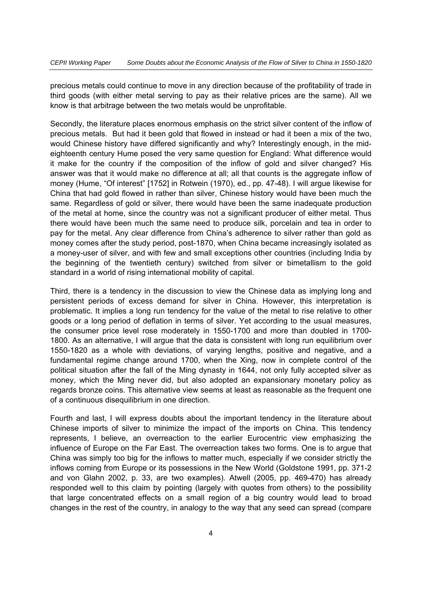precious metals could continue to move in any direction because of the profitability of trade in third goods (with either metal serving to pay as their relative prices are the same). All we know is that arbitrage between the two metals would be unprofitable.

Secondly, the literature places enormous emphasis on the strict silver content of the inflow of precious metals. But had it been gold that flowed in instead or had it been a mix of the two, would Chinese history have differed significantly and why? Interestingly enough, in the mideighteenth century Hume posed the very same question for England: What difference would it make for the country if the composition of the inflow of gold and silver changed? His answer was that it would make no difference at all; all that counts is the aggregate inflow of money (Hume, "Of interest" [1752] in Rotwein (1970), ed., pp. 47-48). I will argue likewise for China that had gold flowed in rather than silver, Chinese history would have been much the same. Regardless of gold or silver, there would have been the same inadequate production of the metal at home, since the country was not a significant producer of either metal. Thus there would have been much the same need to produce silk, porcelain and tea in order to pay for the metal. Any clear difference from China's adherence to silver rather than gold as money comes after the study period, post-1870, when China became increasingly isolated as a money-user of silver, and with few and small exceptions other countries (including India by the beginning of the twentieth century) switched from silver or bimetallism to the gold standard in a world of rising international mobility of capital.

Third, there is a tendency in the discussion to view the Chinese data as implying long and persistent periods of excess demand for silver in China. However, this interpretation is problematic. It implies a long run tendency for the value of the metal to rise relative to other goods or a long period of deflation in terms of silver. Yet according to the usual measures, the consumer price level rose moderately in 1550-1700 and more than doubled in 1700- 1800. As an alternative, I will argue that the data is consistent with long run equilibrium over 1550-1820 as a whole with deviations, of varying lengths, positive and negative, and a fundamental regime change around 1700, when the Xing, now in complete control of the political situation after the fall of the Ming dynasty in 1644, not only fully accepted silver as money, which the Ming never did, but also adopted an expansionary monetary policy as regards bronze coins. This alternative view seems at least as reasonable as the frequent one of a continuous disequilibrium in one direction.

Fourth and last, I will express doubts about the important tendency in the literature about Chinese imports of silver to minimize the impact of the imports on China. This tendency represents, I believe, an overreaction to the earlier Eurocentric view emphasizing the influence of Europe on the Far East. The overreaction takes two forms. One is to argue that China was simply too big for the inflows to matter much, especially if we consider strictly the inflows coming from Europe or its possessions in the New World (Goldstone 1991, pp. 371-2 and von Glahn 2002, p. 33, are two examples). Atwell (2005, pp. 469-470) has already responded well to this claim by pointing (largely with quotes from others) to the possibility that large concentrated effects on a small region of a big country would lead to broad changes in the rest of the country, in analogy to the way that any seed can spread (compare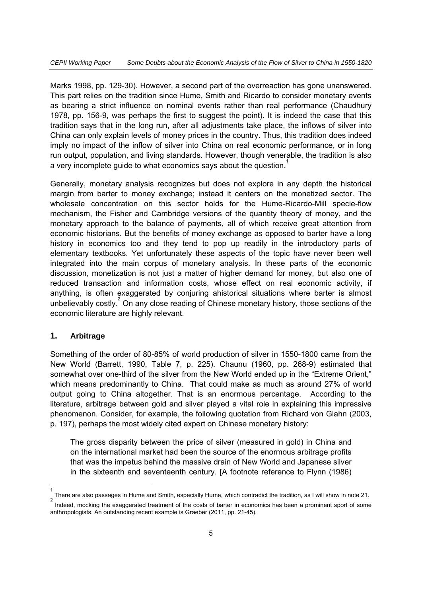Marks 1998, pp. 129-30). However, a second part of the overreaction has gone unanswered. This part relies on the tradition since Hume, Smith and Ricardo to consider monetary events as bearing a strict influence on nominal events rather than real performance (Chaudhury 1978, pp. 156-9, was perhaps the first to suggest the point). It is indeed the case that this tradition says that in the long run, after all adjustments take place, the inflows of silver into China can only explain levels of money prices in the country. Thus, this tradition does indeed imply no impact of the inflow of silver into China on real economic performance, or in long run output, population, and living standards. However, though venerable, the tradition is also a very incomplete guide to what economics says about the question.<sup>1</sup>

Generally, monetary analysis recognizes but does not explore in any depth the historical margin from barter to money exchange; instead it centers on the monetized sector. The wholesale concentration on this sector holds for the Hume-Ricardo-Mill specie-flow mechanism, the Fisher and Cambridge versions of the quantity theory of money, and the monetary approach to the balance of payments, all of which receive great attention from economic historians. But the benefits of money exchange as opposed to barter have a long history in economics too and they tend to pop up readily in the introductory parts of elementary textbooks. Yet unfortunately these aspects of the topic have never been well integrated into the main corpus of monetary analysis. In these parts of the economic discussion, monetization is not just a matter of higher demand for money, but also one of reduced transaction and information costs, whose effect on real economic activity, if anything, is often exaggerated by conjuring ahistorical situations where barter is almost unbelievably costly.<sup>2</sup> On any close reading of Chinese monetary history, those sections of the economic literature are highly relevant.

#### **1. Arbitrage**

-1

Something of the order of 80-85% of world production of silver in 1550-1800 came from the New World (Barrett, 1990, Table 7, p. 225). Chaunu (1960, pp. 268-9) estimated that somewhat over one-third of the silver from the New World ended up in the "Extreme Orient," which means predominantly to China. That could make as much as around 27% of world output going to China altogether. That is an enormous percentage. According to the literature, arbitrage between gold and silver played a vital role in explaining this impressive phenomenon. Consider, for example, the following quotation from Richard von Glahn (2003, p. 197), perhaps the most widely cited expert on Chinese monetary history:

The gross disparity between the price of silver (measured in gold) in China and on the international market had been the source of the enormous arbitrage profits that was the impetus behind the massive drain of New World and Japanese silver in the sixteenth and seventeenth century. [A footnote reference to Flynn (1986)

There are also passages in Hume and Smith, especially Hume, which contradict the tradition, as I will show in note 21. 2 Indeed, mocking the exaggerated treatment of the costs of barter in economics has been a prominent sport of some anthropologists. An outstanding recent example is Graeber (2011, pp. 21-45).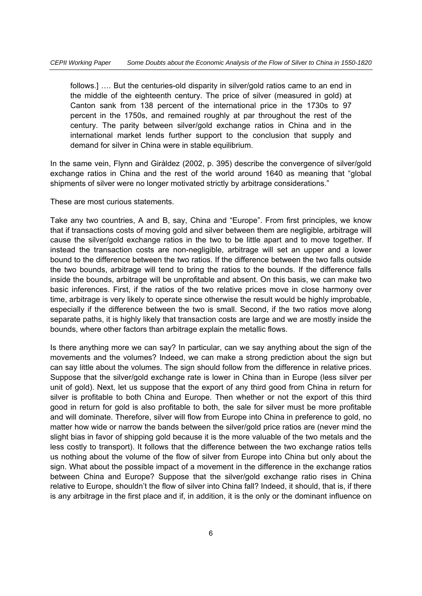follows.] …. But the centuries-old disparity in silver/gold ratios came to an end in the middle of the eighteenth century. The price of silver (measured in gold) at Canton sank from 138 percent of the international price in the 1730s to 97 percent in the 1750s, and remained roughly at par throughout the rest of the century. The parity between silver/gold exchange ratios in China and in the international market lends further support to the conclusion that supply and demand for silver in China were in stable equilibrium.

In the same vein, Flynn and Giràldez (2002, p. 395) describe the convergence of silver/gold exchange ratios in China and the rest of the world around 1640 as meaning that "global shipments of silver were no longer motivated strictly by arbitrage considerations."

These are most curious statements.

Take any two countries, A and B, say, China and "Europe". From first principles, we know that if transactions costs of moving gold and silver between them are negligible, arbitrage will cause the silver/gold exchange ratios in the two to be little apart and to move together. If instead the transaction costs are non-negligible, arbitrage will set an upper and a lower bound to the difference between the two ratios. If the difference between the two falls outside the two bounds, arbitrage will tend to bring the ratios to the bounds. If the difference falls inside the bounds, arbitrage will be unprofitable and absent. On this basis, we can make two basic inferences. First, if the ratios of the two relative prices move in close harmony over time, arbitrage is very likely to operate since otherwise the result would be highly improbable, especially if the difference between the two is small. Second, if the two ratios move along separate paths, it is highly likely that transaction costs are large and we are mostly inside the bounds, where other factors than arbitrage explain the metallic flows.

Is there anything more we can say? In particular, can we say anything about the sign of the movements and the volumes? Indeed, we can make a strong prediction about the sign but can say little about the volumes. The sign should follow from the difference in relative prices. Suppose that the silver/gold exchange rate is lower in China than in Europe (less silver per unit of gold). Next, let us suppose that the export of any third good from China in return for silver is profitable to both China and Europe. Then whether or not the export of this third good in return for gold is also profitable to both, the sale for silver must be more profitable and will dominate. Therefore, silver will flow from Europe into China in preference to gold, no matter how wide or narrow the bands between the silver/gold price ratios are (never mind the slight bias in favor of shipping gold because it is the more valuable of the two metals and the less costly to transport). It follows that the difference between the two exchange ratios tells us nothing about the volume of the flow of silver from Europe into China but only about the sign. What about the possible impact of a movement in the difference in the exchange ratios between China and Europe? Suppose that the silver/gold exchange ratio rises in China relative to Europe, shouldn't the flow of silver into China fall? Indeed, it should, that is, if there is any arbitrage in the first place and if, in addition, it is the only or the dominant influence on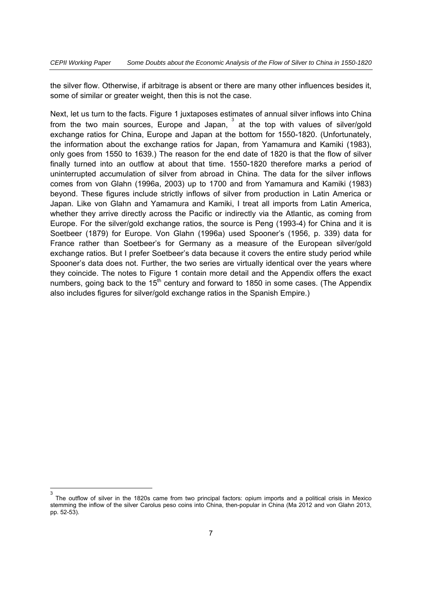the silver flow. Otherwise, if arbitrage is absent or there are many other influences besides it, some of similar or greater weight, then this is not the case.

Next, let us turn to the facts. Figure 1 juxtaposes estimates of annual silver inflows into China from the two main sources, Europe and Japan,  $3$  at the top with values of silver/gold exchange ratios for China, Europe and Japan at the bottom for 1550-1820. (Unfortunately, the information about the exchange ratios for Japan, from Yamamura and Kamiki (1983), only goes from 1550 to 1639.) The reason for the end date of 1820 is that the flow of silver finally turned into an outflow at about that time. 1550-1820 therefore marks a period of uninterrupted accumulation of silver from abroad in China. The data for the silver inflows comes from von Glahn (1996a, 2003) up to 1700 and from Yamamura and Kamiki (1983) beyond. These figures include strictly inflows of silver from production in Latin America or Japan. Like von Glahn and Yamamura and Kamiki, I treat all imports from Latin America, whether they arrive directly across the Pacific or indirectly via the Atlantic, as coming from Europe. For the silver/gold exchange ratios, the source is Peng (1993-4) for China and it is Soetbeer (1879) for Europe. Von Glahn (1996a) used Spooner's (1956, p. 339) data for France rather than Soetbeer's for Germany as a measure of the European silver/gold exchange ratios. But I prefer Soetbeer's data because it covers the entire study period while Spooner's data does not. Further, the two series are virtually identical over the years where they coincide. The notes to Figure 1 contain more detail and the Appendix offers the exact numbers, going back to the  $15<sup>th</sup>$  century and forward to 1850 in some cases. (The Appendix also includes figures for silver/gold exchange ratios in the Spanish Empire.)

 $\frac{1}{3}$  The outflow of silver in the 1820s came from two principal factors: opium imports and a political crisis in Mexico stemming the inflow of the silver Carolus peso coins into China, then-popular in China (Ma 2012 and von Glahn 2013, pp. 52-53).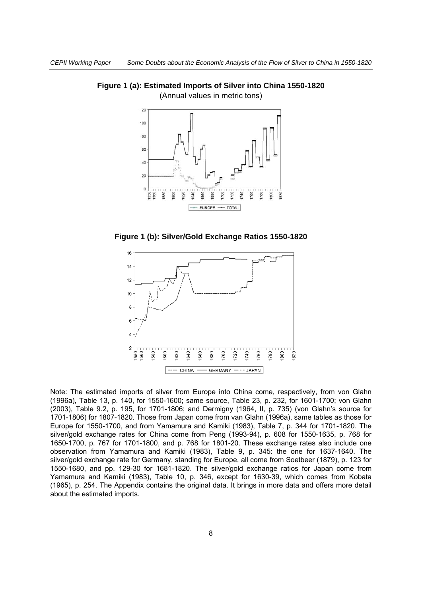

**Figure 1 (a): Estimated Imports of Silver into China 1550-1820**  (Annual values in metric tons)





Note: The estimated imports of silver from Europe into China come, respectively, from von Glahn (1996a), Table 13, p. 140, for 1550-1600; same source, Table 23, p. 232, for 1601-1700; von Glahn (2003), Table 9.2, p. 195, for 1701-1806; and Dermigny (1964, II, p. 735) (von Glahn's source for 1701-1806) for 1807-1820. Those from Japan come from van Glahn (1996a), same tables as those for Europe for 1550-1700, and from Yamamura and Kamiki (1983), Table 7, p. 344 for 1701-1820. The silver/gold exchange rates for China come from Peng (1993-94), p. 608 for 1550-1635, p. 768 for 1650-1700, p. 767 for 1701-1800, and p. 768 for 1801-20. These exchange rates also include one observation from Yamamura and Kamiki (1983), Table 9, p. 345: the one for 1637-1640. The silver/gold exchange rate for Germany, standing for Europe, all come from Soetbeer (1879), p. 123 for 1550-1680, and pp. 129-30 for 1681-1820. The silver/gold exchange ratios for Japan come from Yamamura and Kamiki (1983), Table 10, p. 346, except for 1630-39, which comes from Kobata (1965), p. 254. The Appendix contains the original data. It brings in more data and offers more detail about the estimated imports.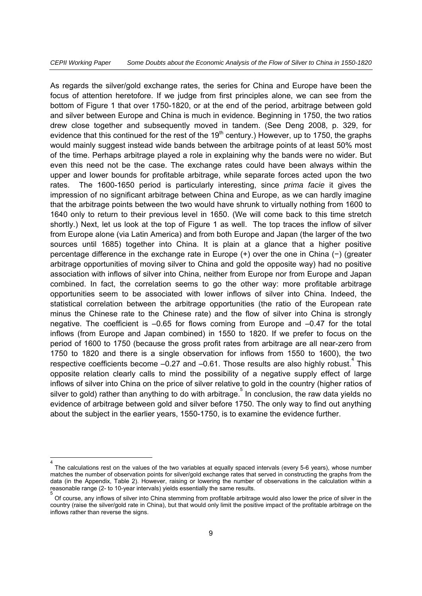As regards the silver/gold exchange rates, the series for China and Europe have been the focus of attention heretofore. If we judge from first principles alone, we can see from the bottom of Figure 1 that over 1750-1820, or at the end of the period, arbitrage between gold and silver between Europe and China is much in evidence. Beginning in 1750, the two ratios drew close together and subsequently moved in tandem. (See Deng 2008, p. 329, for evidence that this continued for the rest of the  $19<sup>th</sup>$  century.) However, up to 1750, the graphs would mainly suggest instead wide bands between the arbitrage points of at least 50% most of the time. Perhaps arbitrage played a role in explaining why the bands were no wider. But even this need not be the case. The exchange rates could have been always within the upper and lower bounds for profitable arbitrage, while separate forces acted upon the two rates. The 1600-1650 period is particularly interesting, since *prima facie* it gives the impression of no significant arbitrage between China and Europe, as we can hardly imagine that the arbitrage points between the two would have shrunk to virtually nothing from 1600 to 1640 only to return to their previous level in 1650. (We will come back to this time stretch shortly.) Next, let us look at the top of Figure 1 as well. The top traces the inflow of silver from Europe alone (via Latin America) and from both Europe and Japan (the larger of the two sources until 1685) together into China. It is plain at a glance that a higher positive percentage difference in the exchange rate in Europe (+) over the one in China (−) (greater arbitrage opportunities of moving silver to China and gold the opposite way) had no positive association with inflows of silver into China, neither from Europe nor from Europe and Japan combined. In fact, the correlation seems to go the other way: more profitable arbitrage opportunities seem to be associated with lower inflows of silver into China. Indeed, the statistical correlation between the arbitrage opportunities (the ratio of the European rate minus the Chinese rate to the Chinese rate) and the flow of silver into China is strongly negative. The coefficient is –0.65 for flows coming from Europe and –0.47 for the total inflows (from Europe and Japan combined) in 1550 to 1820. If we prefer to focus on the period of 1600 to 1750 (because the gross profit rates from arbitrage are all near-zero from 1750 to 1820 and there is a single observation for inflows from 1550 to 1600), the two respective coefficients become  $-0.27$  and  $-0.61$ . Those results are also highly robust.<sup>4</sup> This opposite relation clearly calls to mind the possibility of a negative supply effect of large inflows of silver into China on the price of silver relative to gold in the country (higher ratios of silver to gold) rather than anything to do with arbitrage. In conclusion, the raw data yields no evidence of arbitrage between gold and silver before 1750. The only way to find out anything about the subject in the earlier years, 1550-1750, is to examine the evidence further.

-4

The calculations rest on the values of the two variables at equally spaced intervals (every 5-6 years), whose number matches the number of observation points for silver/gold exchange rates that served in constructing the graphs from the data (in the Appendix, Table 2). However, raising or lowering the number of observations in the calculation within a reasonable range (2- to 10-year intervals) yields essentially the same results. 5

Of course, any inflows of silver into China stemming from profitable arbitrage would also lower the price of silver in the country (raise the silver/gold rate in China), but that would only limit the positive impact of the profitable arbitrage on the inflows rather than reverse the signs.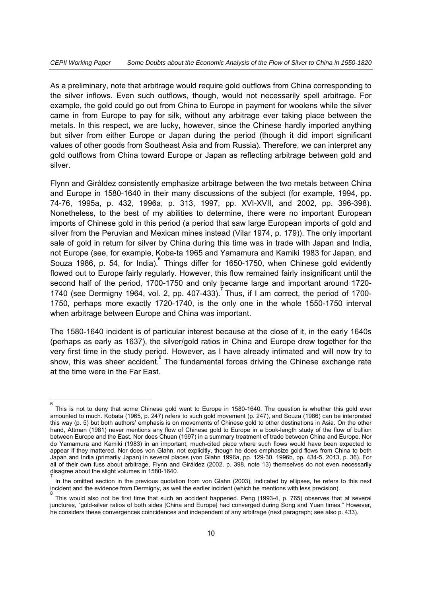As a preliminary, note that arbitrage would require gold outflows from China corresponding to the silver inflows. Even such outflows, though, would not necessarily spell arbitrage. For example, the gold could go out from China to Europe in payment for woolens while the silver came in from Europe to pay for silk, without any arbitrage ever taking place between the metals. In this respect, we are lucky, however, since the Chinese hardly imported anything but silver from either Europe or Japan during the period (though it did import significant values of other goods from Southeast Asia and from Russia). Therefore, we can interpret any gold outflows from China toward Europe or Japan as reflecting arbitrage between gold and silver.

Flynn and Giràldez consistently emphasize arbitrage between the two metals between China and Europe in 1580-1640 in their many discussions of the subject (for example, 1994, pp. 74-76, 1995a, p. 432, 1996a, p. 313, 1997, pp. XVI-XVII, and 2002, pp. 396-398). Nonetheless, to the best of my abilities to determine, there were no important European imports of Chinese gold in this period (a period that saw large European imports of gold and silver from the Peruvian and Mexican mines instead (Vilar 1974, p. 179)). The only important sale of gold in return for silver by China during this time was in trade with Japan and India, not Europe (see, for example, Koba-ta 1965 and Yamamura and Kamiki 1983 for Japan, and Souza 1986, p. 54, for India). Things differ for 1650-1750, when Chinese gold evidently flowed out to Europe fairly regularly. However, this flow remained fairly insignificant until the second half of the period, 1700-1750 and only became large and important around 1720- 1740 (see Dermigny 1964, vol. 2, pp. 407-433). Thus, if I am correct, the period of 1700-1750, perhaps more exactly 1720-1740, is the only one in the whole 1550-1750 interval when arbitrage between Europe and China was important.

The 1580-1640 incident is of particular interest because at the close of it, in the early 1640s (perhaps as early as 1637), the silver/gold ratios in China and Europe drew together for the very first time in the study period. However, as I have already intimated and will now try to show, this was sheer accident. The fundamental forces driving the Chinese exchange rate at the time were in the Far East.

<sup>-&</sup>lt;br>6 This is not to deny that some Chinese gold went to Europe in 1580-1640. The question is whether this gold ever amounted to much. Kobata (1965, p. 247) refers to such gold movement (p. 247), and Souza (1986) can be interpreted this way (p. 5) but both authors' emphasis is on movements of Chinese gold to other destinations in Asia. On the other hand, Attman (1981) never mentions any flow of Chinese gold to Europe in a book-length study of the flow of bullion between Europe and the East. Nor does Chuan (1997) in a summary treatment of trade between China and Europe. Nor do Yamamura and Kamiki (1983) in an important, much-cited piece where such flows would have been expected to appear if they mattered. Nor does von Glahn, not explicitly, though he does emphasize gold flows from China to both Japan and India (primarily Japan) in several places (von Glahn 1996a, pp. 129-30, 1996b, pp. 434-5, 2013, p. 36). For all of their own fuss about arbitrage, Flynn and Giráldez (2002, p. 398, note 13) themselves do not even necessarily disagree about the slight volumes in 1580-1640.

<sup>7</sup> In the omitted section in the previous quotation from von Glahn (2003), indicated by ellipses, he refers to this next incident and the evidence from Dermigny, as well the earlier incident (which he mentions with less precision).

This would also not be first time that such an accident happened. Peng (1993-4, p. 765) observes that at several junctures, "gold-silver ratios of both sides [China and Europe] had converged during Song and Yuan times." However, he considers these convergences coincidences and independent of any arbitrage (next paragraph; see also p. 433).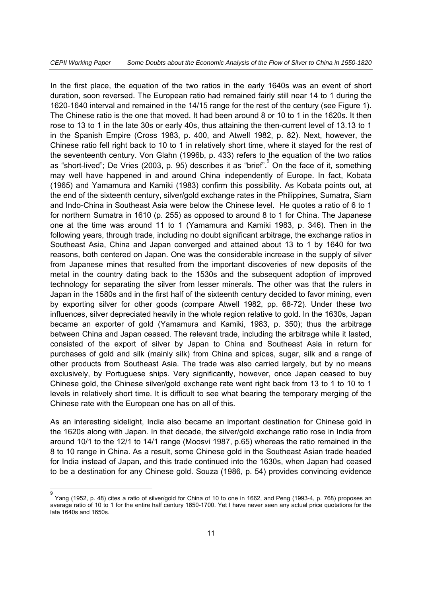In the first place, the equation of the two ratios in the early 1640s was an event of short duration, soon reversed. The European ratio had remained fairly still near 14 to 1 during the 1620-1640 interval and remained in the 14/15 range for the rest of the century (see Figure 1). The Chinese ratio is the one that moved. It had been around 8 or 10 to 1 in the 1620s. It then rose to 13 to 1 in the late 30s or early 40s, thus attaining the then-current level of 13.13 to 1 in the Spanish Empire (Cross 1983, p. 400, and Atwell 1982, p. 82). Next, however, the Chinese ratio fell right back to 10 to 1 in relatively short time, where it stayed for the rest of the seventeenth century. Von Glahn (1996b, p. 433) refers to the equation of the two ratios as "short-lived"; De Vries (2003, p. 95) describes it as "brief". On the face of it, something may well have happened in and around China independently of Europe. In fact, Kobata (1965) and Yamamura and Kamiki (1983) confirm this possibility. As Kobata points out, at the end of the sixteenth century, silver/gold exchange rates in the Philippines, Sumatra, Siam and Indo-China in Southeast Asia were below the Chinese level. He quotes a ratio of 6 to 1 for northern Sumatra in 1610 (p. 255) as opposed to around 8 to 1 for China. The Japanese one at the time was around 11 to 1 (Yamamura and Kamiki 1983, p. 346). Then in the following years, through trade, including no doubt significant arbitrage, the exchange ratios in Southeast Asia, China and Japan converged and attained about 13 to 1 by 1640 for two reasons, both centered on Japan. One was the considerable increase in the supply of silver from Japanese mines that resulted from the important discoveries of new deposits of the metal in the country dating back to the 1530s and the subsequent adoption of improved technology for separating the silver from lesser minerals. The other was that the rulers in Japan in the 1580s and in the first half of the sixteenth century decided to favor mining, even by exporting silver for other goods (compare Atwell 1982, pp. 68-72). Under these two influences, silver depreciated heavily in the whole region relative to gold. In the 1630s, Japan became an exporter of gold (Yamamura and Kamiki, 1983, p. 350); thus the arbitrage between China and Japan ceased. The relevant trade, including the arbitrage while it lasted, consisted of the export of silver by Japan to China and Southeast Asia in return for purchases of gold and silk (mainly silk) from China and spices, sugar, silk and a range of other products from Southeast Asia. The trade was also carried largely, but by no means exclusively, by Portuguese ships. Very significantly, however, once Japan ceased to buy Chinese gold, the Chinese silver/gold exchange rate went right back from 13 to 1 to 10 to 1 levels in relatively short time. It is difficult to see what bearing the temporary merging of the Chinese rate with the European one has on all of this.

As an interesting sidelight, India also became an important destination for Chinese gold in the 1620s along with Japan. In that decade, the silver/gold exchange ratio rose in India from around 10/1 to the 12/1 to 14/1 range (Moosvi 1987, p.65) whereas the ratio remained in the 8 to 10 range in China. As a result, some Chinese gold in the Southeast Asian trade headed for India instead of Japan, and this trade continued into the 1630s, when Japan had ceased to be a destination for any Chinese gold. Souza (1986, p. 54) provides convincing evidence

<sup>–&</sup>lt;br>9 Yang (1952, p. 48) cites a ratio of silver/gold for China of 10 to one in 1662, and Peng (1993-4, p. 768) proposes an average ratio of 10 to 1 for the entire half century 1650-1700. Yet I have never seen any actual price quotations for the late 1640s and 1650s.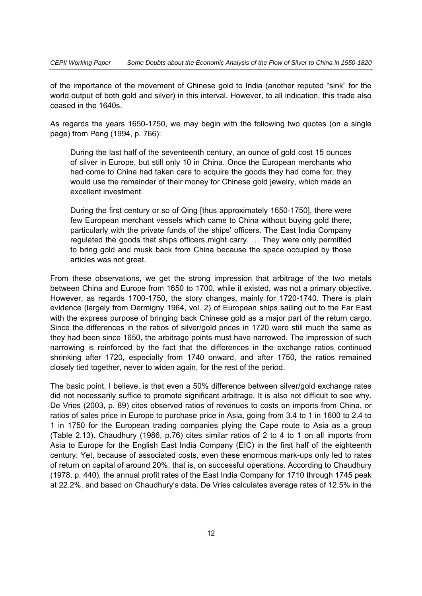of the importance of the movement of Chinese gold to India (another reputed "sink" for the world output of both gold and silver) in this interval. However, to all indication, this trade also ceased in the 1640s.

As regards the years 1650-1750, we may begin with the following two quotes (on a single page) from Peng (1994, p. 766):

During the last half of the seventeenth century, an ounce of gold cost 15 ounces of silver in Europe, but still only 10 in China. Once the European merchants who had come to China had taken care to acquire the goods they had come for, they would use the remainder of their money for Chinese gold jewelry, which made an excellent investment.

During the first century or so of Qing [thus approximately 1650-1750], there were few European merchant vessels which came to China without buying gold there, particularly with the private funds of the ships' officers. The East India Company regulated the goods that ships officers might carry. … They were only permitted to bring gold and musk back from China because the space occupied by those articles was not great.

From these observations, we get the strong impression that arbitrage of the two metals between China and Europe from 1650 to 1700, while it existed, was not a primary objective. However, as regards 1700-1750, the story changes, mainly for 1720-1740. There is plain evidence (largely from Dermigny 1964, vol. 2) of European ships sailing out to the Far East with the express purpose of bringing back Chinese gold as a major part of the return cargo. Since the differences in the ratios of silver/gold prices in 1720 were still much the same as they had been since 1650, the arbitrage points must have narrowed. The impression of such narrowing is reinforced by the fact that the differences in the exchange ratios continued shrinking after 1720, especially from 1740 onward, and after 1750, the ratios remained closely tied together, never to widen again, for the rest of the period.

The basic point, I believe, is that even a 50% difference between silver/gold exchange rates did not necessarily suffice to promote significant arbitrage. It is also not difficult to see why. De Vries (2003, p. 89) cites observed ratios of revenues to costs on imports from China, or ratios of sales price in Europe to purchase price in Asia, going from 3.4 to 1 in 1600 to 2.4 to 1 in 1750 for the European trading companies plying the Cape route to Asia as a group (Table 2.13). Chaudhury (1986, p.76) cites similar ratios of 2 to 4 to 1 on all imports from Asia to Europe for the English East India Company (EIC) in the first half of the eighteenth century. Yet, because of associated costs, even these enormous mark-ups only led to rates of return on capital of around 20%, that is, on successful operations. According to Chaudhury (1978, p. 440), the annual profit rates of the East India Company for 1710 through 1745 peak at 22.2%, and based on Chaudhury's data, De Vries calculates average rates of 12.5% in the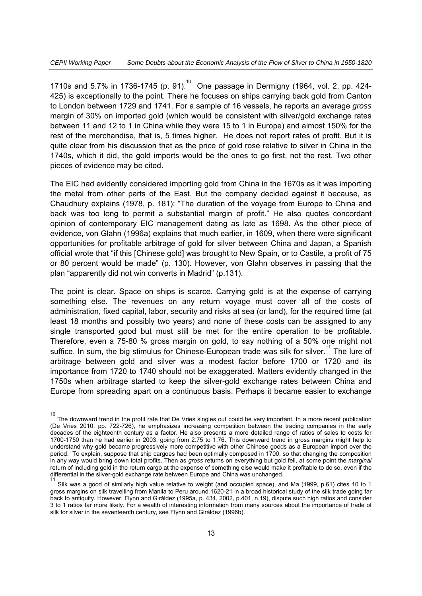1710s and 5.7% in 1736-1745 (p. 91).<sup>10</sup> One passage in Dermigny (1964, vol. 2, pp. 424-425) is exceptionally to the point. There he focuses on ships carrying back gold from Canton to London between 1729 and 1741. For a sample of 16 vessels, he reports an average *gross* margin of 30% on imported gold (which would be consistent with silver/gold exchange rates between 11 and 12 to 1 in China while they were 15 to 1 in Europe) and almost 150% for the rest of the merchandise, that is, 5 times higher. He does not report rates of profit. But it is quite clear from his discussion that as the price of gold rose relative to silver in China in the 1740s, which it did, the gold imports would be the ones to go first, not the rest. Two other pieces of evidence may be cited.

The EIC had evidently considered importing gold from China in the 1670s as it was importing the metal from other parts of the East. But the company decided against it because, as Chaudhury explains (1978, p. 181): "The duration of the voyage from Europe to China and back was too long to permit a substantial margin of profit." He also quotes concordant opinion of contemporary EIC management dating as late as 1698. As the other piece of evidence, von Glahn (1996a) explains that much earlier, in 1609, when there were significant opportunities for profitable arbitrage of gold for silver between China and Japan, a Spanish official wrote that "if this [Chinese gold] was brought to New Spain, or to Castile, a profit of 75 or 80 percent would be made" (p. 130). However, von Glahn observes in passing that the plan "apparently did not win converts in Madrid" (p.131).

The point is clear. Space on ships is scarce. Carrying gold is at the expense of carrying something else. The revenues on any return voyage must cover all of the costs of administration, fixed capital, labor, security and risks at sea (or land), for the required time (at least 18 months and possibly two years) and none of these costs can be assigned to any single transported good but must still be met for the entire operation to be profitable. Therefore, even a 75-80 % gross margin on gold, to say nothing of a 50% one might not suffice. In sum, the big stimulus for Chinese-European trade was silk for silver.<sup>11</sup> The lure of arbitrage between gold and silver was a modest factor before 1700 or 1720 and its importance from 1720 to 1740 should not be exaggerated. Matters evidently changed in the 1750s when arbitrage started to keep the silver-gold exchange rates between China and Europe from spreading apart on a continuous basis. Perhaps it became easier to exchange

 $\frac{1}{10}$  The downward trend in the profit rate that De Vries singles out could be very important. In a more recent publication (De Vries 2010, pp. 722-726), he emphasizes increasing competition between the trading companies in the early decades of the eighteenth century as a factor. He also presents a more detailed range of ratios of sales to costs for 1700-1750 than he had earlier in 2003, going from 2.75 to 1.76. This downward trend in gross margins might help to understand why gold became progressively more competitive with other Chinese goods as a European import over the period. To explain, suppose that ship cargoes had been optimally composed in 1700, so that changing the composition in any way would bring down total profits. Then as *gross* returns on everything but gold fell, at some point the *marginal* return of including gold in the return cargo at the expense of something else would make it profitable to do so, even if the differential in the silver-gold exchange rate between Europe and China was unchanged. 11

Silk was a good of similarly high value relative to weight (and occupied space), and Ma (1999, p.61) cites 10 to 1 gross margins on silk travelling from Manila to Peru around 1620-21 in a broad historical study of the silk trade going far back to antiquity. However, Flynn and Giráldez (1995a, p. 434, 2002, p.401, n.19), dispute such high ratios and consider 3 to 1 ratios far more likely. For a wealth of interesting information from many sources about the importance of trade of silk for silver in the seventeenth century, see Flynn and Giráldez (1996b).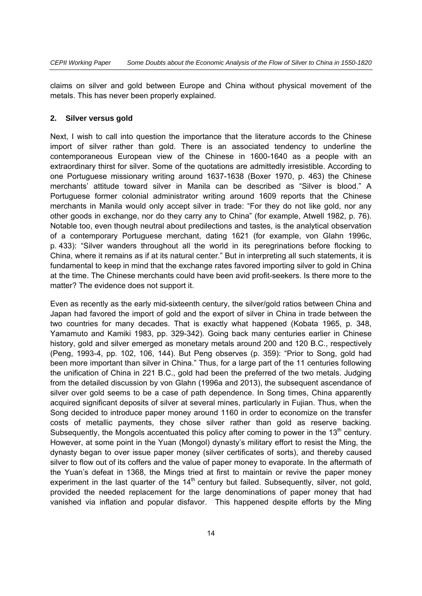claims on silver and gold between Europe and China without physical movement of the metals. This has never been properly explained.

#### **2. Silver versus gold**

Next, I wish to call into question the importance that the literature accords to the Chinese import of silver rather than gold. There is an associated tendency to underline the contemporaneous European view of the Chinese in 1600-1640 as a people with an extraordinary thirst for silver. Some of the quotations are admittedly irresistible. According to one Portuguese missionary writing around 1637-1638 (Boxer 1970, p. 463) the Chinese merchants' attitude toward silver in Manila can be described as "Silver is blood." A Portuguese former colonial administrator writing around 1609 reports that the Chinese merchants in Manila would only accept silver in trade: "For they do not like gold, nor any other goods in exchange, nor do they carry any to China" (for example, Atwell 1982, p. 76). Notable too, even though neutral about predilections and tastes, is the analytical observation of a contemporary Portuguese merchant, dating 1621 (for example, von Glahn 1996c, p. 433): "Silver wanders throughout all the world in its peregrinations before flocking to China, where it remains as if at its natural center." But in interpreting all such statements, it is fundamental to keep in mind that the exchange rates favored importing silver to gold in China at the time. The Chinese merchants could have been avid profit-seekers. Is there more to the matter? The evidence does not support it.

Even as recently as the early mid-sixteenth century, the silver/gold ratios between China and Japan had favored the import of gold and the export of silver in China in trade between the two countries for many decades. That is exactly what happened (Kobata 1965, p. 348, Yamamuto and Kamiki 1983, pp. 329-342). Going back many centuries earlier in Chinese history, gold and silver emerged as monetary metals around 200 and 120 B.C., respectively (Peng, 1993-4, pp. 102, 106, 144). But Peng observes (p. 359): "Prior to Song, gold had been more important than silver in China." Thus, for a large part of the 11 centuries following the unification of China in 221 B.C., gold had been the preferred of the two metals. Judging from the detailed discussion by von Glahn (1996a and 2013), the subsequent ascendance of silver over gold seems to be a case of path dependence. In Song times, China apparently acquired significant deposits of silver at several mines, particularly in Fujian. Thus, when the Song decided to introduce paper money around 1160 in order to economize on the transfer costs of metallic payments, they chose silver rather than gold as reserve backing. Subsequently, the Mongols accentuated this policy after coming to power in the 13<sup>th</sup> century. However, at some point in the Yuan (Mongol) dynasty's military effort to resist the Ming, the dynasty began to over issue paper money (silver certificates of sorts), and thereby caused silver to flow out of its coffers and the value of paper money to evaporate. In the aftermath of the Yuan's defeat in 1368, the Mings tried at first to maintain or revive the paper money experiment in the last quarter of the  $14<sup>th</sup>$  century but failed. Subsequently, silver, not gold, provided the needed replacement for the large denominations of paper money that had vanished via inflation and popular disfavor. This happened despite efforts by the Ming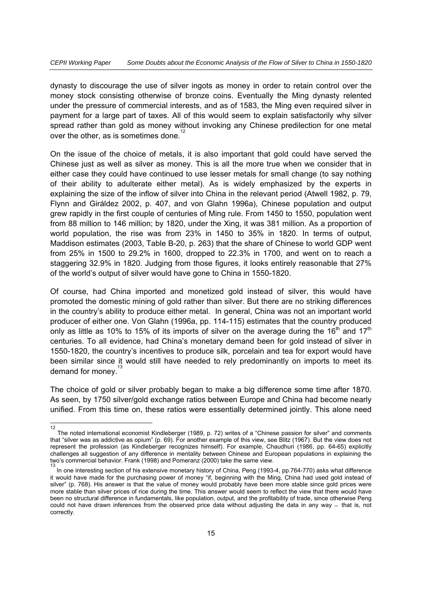dynasty to discourage the use of silver ingots as money in order to retain control over the money stock consisting otherwise of bronze coins. Eventually the Ming dynasty relented under the pressure of commercial interests, and as of 1583, the Ming even required silver in payment for a large part of taxes. All of this would seem to explain satisfactorily why silver spread rather than gold as money without invoking any Chinese predilection for one metal over the other, as is sometimes done.<sup>12</sup>

On the issue of the choice of metals, it is also important that gold could have served the Chinese just as well as silver as money. This is all the more true when we consider that in either case they could have continued to use lesser metals for small change (to say nothing of their ability to adulterate either metal). As is widely emphasized by the experts in explaining the size of the inflow of silver into China in the relevant period (Atwell 1982, p. 79, Flynn and Giráldez 2002, p. 407, and von Glahn 1996a), Chinese population and output grew rapidly in the first couple of centuries of Ming rule. From 1450 to 1550, population went from 88 million to 146 million; by 1820, under the Xing, it was 381 million. As a proportion of world population, the rise was from 23% in 1450 to 35% in 1820. In terms of output, Maddison estimates (2003, Table B-20, p. 263) that the share of Chinese to world GDP went from 25% in 1500 to 29.2% in 1600, dropped to 22.3% in 1700, and went on to reach a staggering 32.9% in 1820. Judging from those figures, it looks entirely reasonable that 27% of the world's output of silver would have gone to China in 1550-1820.

Of course, had China imported and monetized gold instead of silver, this would have promoted the domestic mining of gold rather than silver. But there are no striking differences in the country's ability to produce either metal. In general, China was not an important world producer of either one. Von Glahn (1996a, pp. 114-115) estimates that the country produced only as little as 10% to 15% of its imports of silver on the average during the 16<sup>th</sup> and 17<sup>th</sup> centuries. To all evidence, had China's monetary demand been for gold instead of silver in 1550-1820, the country's incentives to produce silk, porcelain and tea for export would have been similar since it would still have needed to rely predominantly on imports to meet its demand for money.

The choice of gold or silver probably began to make a big difference some time after 1870. As seen, by 1750 silver/gold exchange ratios between Europe and China had become nearly unified. From this time on, these ratios were essentially determined jointly. This alone need

 $\frac{1}{12}$  The noted international economist Kindleberger (1989, p. 72) writes of a "Chinese passion for silver" and comments that "silver was as addictive as opium" (p. 69). For another example of this view, see Blitz (1967). But the view does not represent the profession (as Kindleberger recognizes himself). For example, Chaudhuri (1986, pp. 64-65) explicitly challenges all suggestion of any difference in mentality between Chinese and European populations in explaining the two's commercial behavior. Frank (1998) and Pomeranz (2000) take the same view. 13

In one interesting section of his extensive monetary history of China, Peng (1993-4, pp.764-770) asks what difference it would have made for the purchasing power of money "if, beginning with the Ming, China had used gold instead of silver" (p. 768). His answer is that the value of money would probably have been more stable since gold prices were more stable than silver prices of rice during the time. This answer would seem to reflect the view that there would have been no structural difference in fundamentals, like population, output, and the profitability of trade, since otherwise Peng could not have drawn inferences from the observed price data without adjusting the data in any way  $-$  that is, not correctly.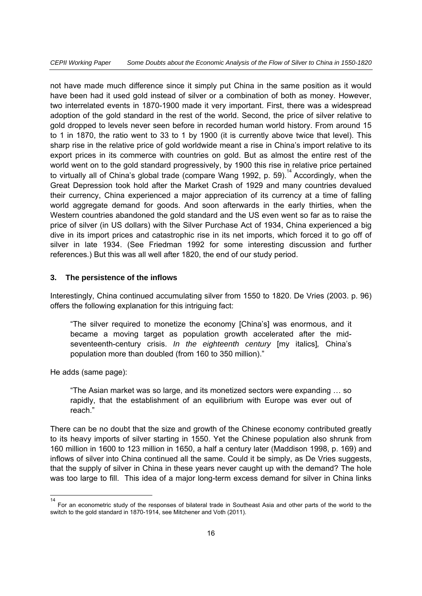not have made much difference since it simply put China in the same position as it would have been had it used gold instead of silver or a combination of both as money. However, two interrelated events in 1870-1900 made it very important. First, there was a widespread adoption of the gold standard in the rest of the world. Second, the price of silver relative to gold dropped to levels never seen before in recorded human world history. From around 15 to 1 in 1870, the ratio went to 33 to 1 by 1900 (it is currently above twice that level). This sharp rise in the relative price of gold worldwide meant a rise in China's import relative to its export prices in its commerce with countries on gold. But as almost the entire rest of the world went on to the gold standard progressively, by 1900 this rise in relative price pertained to virtually all of China's global trade (compare Wang 1992, p. 59).<sup>14</sup> Accordingly, when the Great Depression took hold after the Market Crash of 1929 and many countries devalued their currency, China experienced a major appreciation of its currency at a time of falling world aggregate demand for goods. And soon afterwards in the early thirties, when the Western countries abandoned the gold standard and the US even went so far as to raise the price of silver (in US dollars) with the Silver Purchase Act of 1934, China experienced a big dive in its import prices and catastrophic rise in its net imports, which forced it to go off of silver in late 1934. (See Friedman 1992 for some interesting discussion and further references.) But this was all well after 1820, the end of our study period.

#### **3. The persistence of the inflows**

Interestingly, China continued accumulating silver from 1550 to 1820. De Vries (2003. p. 96) offers the following explanation for this intriguing fact:

"The silver required to monetize the economy [China's] was enormous, and it became a moving target as population growth accelerated after the midseventeenth-century crisis. *In the eighteenth century* [my italics]*,* China's population more than doubled (from 160 to 350 million)."

He adds (same page):

"The Asian market was so large, and its monetized sectors were expanding … so rapidly, that the establishment of an equilibrium with Europe was ever out of reach."

There can be no doubt that the size and growth of the Chinese economy contributed greatly to its heavy imports of silver starting in 1550. Yet the Chinese population also shrunk from 160 million in 1600 to 123 million in 1650, a half a century later (Maddison 1998, p. 169) and inflows of silver into China continued all the same. Could it be simply, as De Vries suggests, that the supply of silver in China in these years never caught up with the demand? The hole was too large to fill. This idea of a major long-term excess demand for silver in China links

 $\frac{1}{14}$  For an econometric study of the responses of bilateral trade in Southeast Asia and other parts of the world to the switch to the gold standard in 1870-1914, see Mitchener and Voth (2011).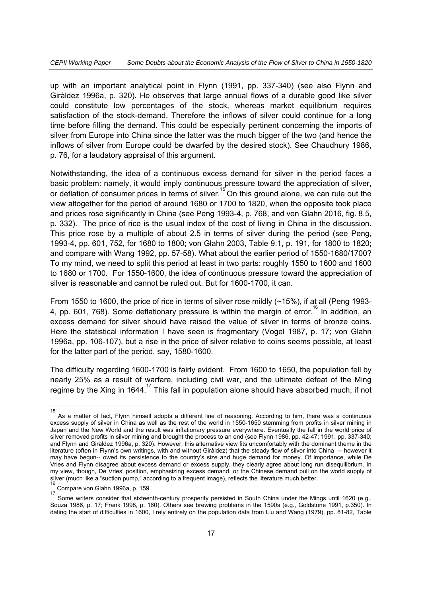up with an important analytical point in Flynn (1991, pp. 337-340) (see also Flynn and Giràldez 1996a, p. 320). He observes that large annual flows of a durable good like silver could constitute low percentages of the stock, whereas market equilibrium requires satisfaction of the stock-demand. Therefore the inflows of silver could continue for a long time before filling the demand. This could be especially pertinent concerning the imports of silver from Europe into China since the latter was the much bigger of the two (and hence the inflows of silver from Europe could be dwarfed by the desired stock). See Chaudhury 1986, p. 76, for a laudatory appraisal of this argument.

Notwithstanding, the idea of a continuous excess demand for silver in the period faces a basic problem: namely, it would imply continuous pressure toward the appreciation of silver, or deflation of consumer prices in terms of silver.<sup>15</sup> On this ground alone, we can rule out the view altogether for the period of around 1680 or 1700 to 1820, when the opposite took place and prices rose significantly in China (see Peng 1993-4, p. 768, and von Glahn 2016, fig. 8.5, p. 332). The price of rice is the usual index of the cost of living in China in the discussion. This price rose by a multiple of about 2.5 in terms of silver during the period (see Peng, 1993-4, pp. 601, 752, for 1680 to 1800; von Glahn 2003, Table 9.1, p. 191, for 1800 to 1820; and compare with Wang 1992, pp. 57-58). What about the earlier period of 1550-1680/1700? To my mind, we need to split this period at least in two parts: roughly 1550 to 1600 and 1600 to 1680 or 1700. For 1550-1600, the idea of continuous pressure toward the appreciation of silver is reasonable and cannot be ruled out. But for 1600-1700, it can.

From 1550 to 1600, the price of rice in terms of silver rose mildly (~15%), if at all (Peng 1993- 4, pp. 601, 768). Some deflationary pressure is within the margin of error.<sup>16</sup> In addition, an excess demand for silver should have raised the value of silver in terms of bronze coins. Here the statistical information I have seen is fragmentary (Vogel 1987, p. 17; von Glahn 1996a, pp. 106-107), but a rise in the price of silver relative to coins seems possible, at least for the latter part of the period, say, 1580-1600.

The difficulty regarding 1600-1700 is fairly evident. From 1600 to 1650, the population fell by nearly 25% as a result of warfare, including civil war, and the ultimate defeat of the Ming regime by the Xing in 1644.<sup>17</sup> This fall in population alone should have absorbed much, if not

 $\overline{a}$ 

<sup>15</sup> As a matter of fact, Flynn himself adopts a different line of reasoning. According to him, there was a continuous excess supply of silver in China as well as the rest of the world in 1550-1650 stemming from profits in silver mining in Japan and the New World and the result was inflationary pressure everywhere. Eventually the fall in the world price of silver removed profits in silver mining and brought the process to an end (see Flynn 1986, pp. 42-47; 1991, pp. 337-340; and Flynn and Giràldez 1996a, p. 320). However, this alternative view fits uncomfortably with the dominant theme in the literature (often in Flynn's own writings, with and without Giràldez) that the steady flow of silver into China -- however it may have begun-- owed its persistence to the country's size and huge demand for money. Of importance, while De Vries and Flynn disagree about excess demand or excess supply, they clearly agree about long run disequilibrium. In my view, though, De Vries' position, emphasizing excess demand, or the Chinese demand pull on the world supply of silver (much like a "suction pump," according to a frequent image), reflects the literature much better.<br>16

Compare von Glahn 1996a, p. 159.

Some writers consider that sixteenth-century prosperity persisted in South China under the Mings until 1620 (e.g., Souza 1986, p. 17; Frank 1998, p. 160). Others see brewing problems in the 1590s (e.g., Goldstone 1991, p.350). In dating the start of difficulties in 1600, I rely entirely on the population data from Liu and Wang (1979), pp. 81-82, Table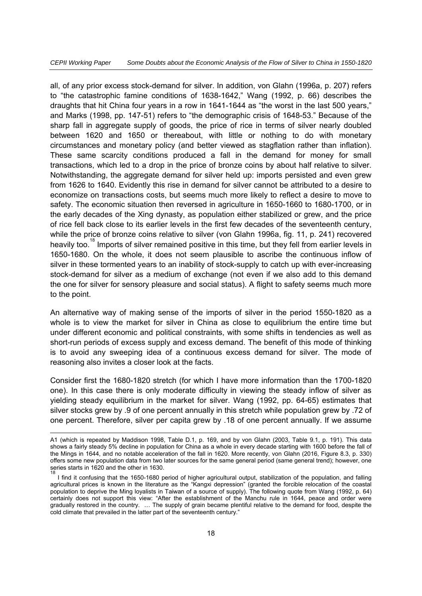all, of any prior excess stock-demand for silver. In addition, von Glahn (1996a, p. 207) refers to "the catastrophic famine conditions of 1638-1642," Wang (1992, p. 66) describes the draughts that hit China four years in a row in 1641-1644 as "the worst in the last 500 years," and Marks (1998, pp. 147-51) refers to "the demographic crisis of 1648-53." Because of the sharp fall in aggregate supply of goods, the price of rice in terms of silver nearly doubled between 1620 and 1650 or thereabout, with little or nothing to do with monetary circumstances and monetary policy (and better viewed as stagflation rather than inflation). These same scarcity conditions produced a fall in the demand for money for small transactions, which led to a drop in the price of bronze coins by about half relative to silver. Notwithstanding, the aggregate demand for silver held up: imports persisted and even grew from 1626 to 1640. Evidently this rise in demand for silver cannot be attributed to a desire to economize on transactions costs, but seems much more likely to reflect a desire to move to safety. The economic situation then reversed in agriculture in 1650-1660 to 1680-1700, or in the early decades of the Xing dynasty, as population either stabilized or grew, and the price of rice fell back close to its earlier levels in the first few decades of the seventeenth century, while the price of bronze coins relative to silver (von Glahn 1996a, fig. 11, p. 241) recovered heavily too.<sup>18</sup> Imports of silver remained positive in this time, but they fell from earlier levels in 1650-1680. On the whole, it does not seem plausible to ascribe the continuous inflow of silver in these tormented years to an inability of stock-supply to catch up with ever-increasing stock-demand for silver as a medium of exchange (not even if we also add to this demand the one for silver for sensory pleasure and social status). A flight to safety seems much more to the point.

An alternative way of making sense of the imports of silver in the period 1550-1820 as a whole is to view the market for silver in China as close to equilibrium the entire time but under different economic and political constraints, with some shifts in tendencies as well as short-run periods of excess supply and excess demand. The benefit of this mode of thinking is to avoid any sweeping idea of a continuous excess demand for silver. The mode of reasoning also invites a closer look at the facts.

Consider first the 1680-1820 stretch (for which I have more information than the 1700-1820 one). In this case there is only moderate difficulty in viewing the steady inflow of silver as yielding steady equilibrium in the market for silver. Wang (1992, pp. 64-65) estimates that silver stocks grew by .9 of one percent annually in this stretch while population grew by .72 of one percent. Therefore, silver per capita grew by .18 of one percent annually. If we assume

A1 (which is repeated by Maddison 1998, Table D.1, p. 169, and by von Glahn (2003, Table 9.1, p. 191). This data shows a fairly steady 5% decline in population for China as a whole in every decade starting with 1600 before the fall of the Mings in 1644, and no notable acceleration of the fall in 1620. More recently, von Glahn (2016, Figure 8.3, p. 330) offers some new population data from two later sources for the same general period (same general trend); however, one series starts in 1620 and the other in 1630. 18

I find it confusing that the 1650-1680 period of higher agricultural output, stabilization of the population, and falling agricultural prices is known in the literature as the "Kangxi depression" (granted the forcible relocation of the coastal population to deprive the Ming loyalists in Taiwan of a source of supply). The following quote from Wang (1992, p. 64) certainly does not support this view: "After the establishment of the Manchu rule in 1644, peace and order were gradually restored in the country. … The supply of grain became plentiful relative to the demand for food, despite the cold climate that prevailed in the latter part of the seventeenth century."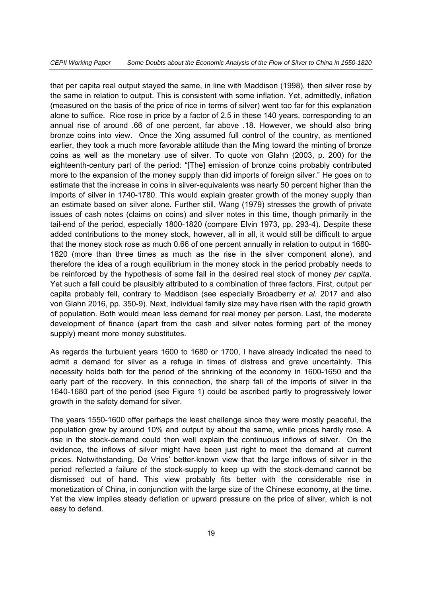that per capita real output stayed the same, in line with Maddison (1998), then silver rose by the same in relation to output. This is consistent with some inflation. Yet, admittedly, inflation (measured on the basis of the price of rice in terms of silver) went too far for this explanation alone to suffice. Rice rose in price by a factor of 2.5 in these 140 years, corresponding to an annual rise of around .66 of one percent, far above .18. However, we should also bring bronze coins into view. Once the Xing assumed full control of the country, as mentioned earlier, they took a much more favorable attitude than the Ming toward the minting of bronze coins as well as the monetary use of silver. To quote von Glahn (2003, p. 200) for the eighteenth-century part of the period: "[The] emission of bronze coins probably contributed more to the expansion of the money supply than did imports of foreign silver." He goes on to estimate that the increase in coins in silver-equivalents was nearly 50 percent higher than the imports of silver in 1740-1780. This would explain greater growth of the money supply than an estimate based on silver alone. Further still, Wang (1979) stresses the growth of private issues of cash notes (claims on coins) and silver notes in this time, though primarily in the tail-end of the period, especially 1800-1820 (compare Elvin 1973, pp. 293-4). Despite these added contributions to the money stock, however, all in all, it would still be difficult to argue that the money stock rose as much 0.66 of one percent annually in relation to output in 1680- 1820 (more than three times as much as the rise in the silver component alone), and therefore the idea of a rough equilibrium in the money stock in the period probably needs to be reinforced by the hypothesis of some fall in the desired real stock of money *per capita*. Yet such a fall could be plausibly attributed to a combination of three factors. First, output per capita probably fell, contrary to Maddison (see especially Broadberry *et al.* 2017 and also von Glahn 2016, pp. 350-9). Next, individual family size may have risen with the rapid growth of population. Both would mean less demand for real money per person. Last, the moderate development of finance (apart from the cash and silver notes forming part of the money supply) meant more money substitutes.

As regards the turbulent years 1600 to 1680 or 1700, I have already indicated the need to admit a demand for silver as a refuge in times of distress and grave uncertainty. This necessity holds both for the period of the shrinking of the economy in 1600-1650 and the early part of the recovery. In this connection, the sharp fall of the imports of silver in the 1640-1680 part of the period (see Figure 1) could be ascribed partly to progressively lower growth in the safety demand for silver.

The years 1550-1600 offer perhaps the least challenge since they were mostly peaceful, the population grew by around 10% and output by about the same, while prices hardly rose. A rise in the stock-demand could then well explain the continuous inflows of silver. On the evidence, the inflows of silver might have been just right to meet the demand at current prices. Notwithstanding, De Vries' better-known view that the large inflows of silver in the period reflected a failure of the stock-supply to keep up with the stock-demand cannot be dismissed out of hand. This view probably fits better with the considerable rise in monetization of China, in conjunction with the large size of the Chinese economy, at the time. Yet the view implies steady deflation or upward pressure on the price of silver, which is not easy to defend.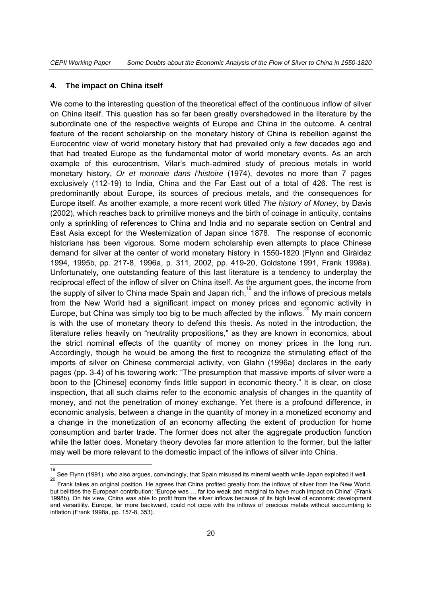#### **4. The impact on China itself**

We come to the interesting question of the theoretical effect of the continuous inflow of silver on China itself. This question has so far been greatly overshadowed in the literature by the subordinate one of the respective weights of Europe and China in the outcome. A central feature of the recent scholarship on the monetary history of China is rebellion against the Eurocentric view of world monetary history that had prevailed only a few decades ago and that had treated Europe as the fundamental motor of world monetary events. As an arch example of this eurocentrism, Vilar's much-admired study of precious metals in world monetary history, *Or et monnaie dans l'histoire* (1974), devotes no more than 7 pages exclusively (112-19) to India, China and the Far East out of a total of 426. The rest is predominantly about Europe, its sources of precious metals, and the consequences for Europe itself. As another example, a more recent work titled *The history of Money*, by Davis (2002), which reaches back to primitive moneys and the birth of coinage in antiquity, contains only a sprinkling of references to China and India and no separate section on Central and East Asia except for the Westernization of Japan since 1878. The response of economic historians has been vigorous. Some modern scholarship even attempts to place Chinese demand for silver at the center of world monetary history in 1550-1820 (Flynn and Giràldez 1994, 1995b, pp. 217-8, 1996a, p. 311, 2002, pp. 419-20, Goldstone 1991, Frank 1998a). Unfortunately, one outstanding feature of this last literature is a tendency to underplay the reciprocal effect of the inflow of silver on China itself. As the argument goes, the income from the supply of silver to China made Spain and Japan rich,<sup>19</sup> and the inflows of precious metals from the New World had a significant impact on money prices and economic activity in Europe, but China was simply too big to be much affected by the inflows.<sup>20</sup> My main concern is with the use of monetary theory to defend this thesis. As noted in the introduction, the literature relies heavily on "neutrality propositions," as they are known in economics, about the strict nominal effects of the quantity of money on money prices in the long run. Accordingly, though he would be among the first to recognize the stimulating effect of the imports of silver on Chinese commercial activity, von Glahn (1996a) declares in the early pages (pp. 3-4) of his towering work: "The presumption that massive imports of silver were a boon to the [Chinese] economy finds little support in economic theory." It is clear, on close inspection, that all such claims refer to the economic analysis of changes in the quantity of money, and not the penetration of money exchange. Yet there is a profound difference, in economic analysis, between a change in the quantity of money in a monetized economy and a change in the monetization of an economy affecting the extent of production for home consumption and barter trade. The former does not alter the aggregate production function while the latter does. Monetary theory devotes far more attention to the former, but the latter may well be more relevant to the domestic impact of the inflows of silver into China.

 19 See Flynn (1991), who also argues, convincingly, that Spain misused its mineral wealth while Japan exploited it well. 20

Frank takes an original position. He agrees that China profited greatly from the inflows of silver from the New World, but belittles the European contribution: "Europe was … far too weak and marginal to have much impact on China" (Frank 1998b). On his view, China was able to profit from the silver inflows because of its high level of economic development and versatility. Europe, far more backward, could not cope with the inflows of precious metals without succumbing to inflation (Frank 1998a, pp. 157-8, 353).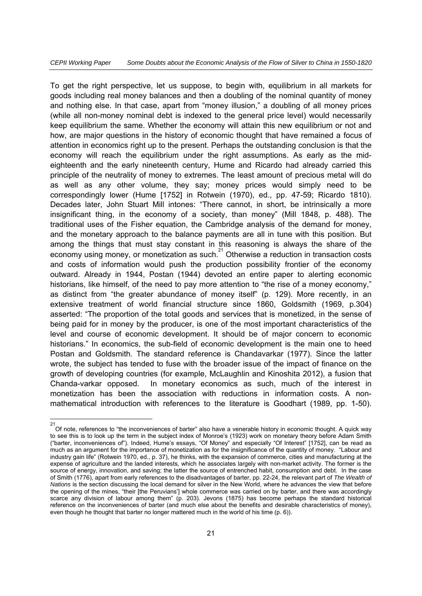To get the right perspective, let us suppose, to begin with, equilibrium in all markets for goods including real money balances and then a doubling of the nominal quantity of money and nothing else. In that case, apart from "money illusion," a doubling of all money prices (while all non-money nominal debt is indexed to the general price level) would necessarily keep equilibrium the same. Whether the economy will attain this new equilibrium or not and how, are major questions in the history of economic thought that have remained a focus of attention in economics right up to the present. Perhaps the outstanding conclusion is that the economy will reach the equilibrium under the right assumptions. As early as the mideighteenth and the early nineteenth century, Hume and Ricardo had already carried this principle of the neutrality of money to extremes. The least amount of precious metal will do as well as any other volume, they say; money prices would simply need to be correspondingly lower (Hume [1752] in Rotwein (1970), ed., pp. 47-59; Ricardo 1810). Decades later, John Stuart Mill intones: "There cannot, in short, be intrinsically a more insignificant thing, in the economy of a society, than money" (Mill 1848, p. 488). The traditional uses of the Fisher equation, the Cambridge analysis of the demand for money, and the monetary approach to the balance payments are all in tune with this position. But among the things that must stay constant in this reasoning is always the share of the economy using money, or monetization as such.<sup>21</sup> Otherwise a reduction in transaction costs and costs of information would push the production possibility frontier of the economy outward. Already in 1944, Postan (1944) devoted an entire paper to alerting economic historians, like himself, of the need to pay more attention to "the rise of a money economy," as distinct from "the greater abundance of money itself" (p. 129). More recently, in an extensive treatment of world financial structure since 1860, Goldsmith (1969, p.304) asserted: "The proportion of the total goods and services that is monetized, in the sense of being paid for in money by the producer, is one of the most important characteristics of the level and course of economic development. It should be of major concern to economic historians." In economics, the sub-field of economic development is the main one to heed Postan and Goldsmith. The standard reference is Chandavarkar (1977). Since the latter wrote, the subject has tended to fuse with the broader issue of the impact of finance on the growth of developing countries (for example, McLaughlin and Kinoshita 2012), a fusion that Chanda-varkar opposed. In monetary economics as such, much of the interest in monetization has been the association with reductions in information costs. A nonmathematical introduction with references to the literature is Goodhart (1989, pp. 1-50).

 $\frac{1}{21}$ Of note, references to "the inconveniences of barter" also have a venerable history in economic thought. A quick way to see this is to look up the term in the subject index of Monroe's (1923) work on monetary theory before Adam Smith ("barter, inconveniences of"). Indeed, Hume's essays, "Of Money" and especially "Of Interest" [1752], can be read as much as an argument for the importance of monetization as for the insignificance of the quantity of money. "Labour and industry gain life" (Rotwein 1970, ed., p. 37), he thinks, with the expansion of commerce, cities and manufacturing at the expense of agriculture and the landed interests, which he associates largely with non-market activity. The former is the source of energy, innovation, and saving; the latter the source of entrenched habit, consumption and debt. In the case of Smith (1776), apart from early references to the disadvantages of barter, pp. 22-24, the relevant part of *The Wealth of Nations* is the section discussing the local demand for silver in the New World, where he advances the view that before the opening of the mines, "their [the Peruvians'] whole commerce was carried on by barter, and there was accordingly scarce any division of labour among them" (p. 203). Jevons (1875) has become perhaps the standard historical reference on the inconveniences of barter (and much else about the benefits and desirable characteristics of money), even though he thought that barter no longer mattered much in the world of his time (p. 6)).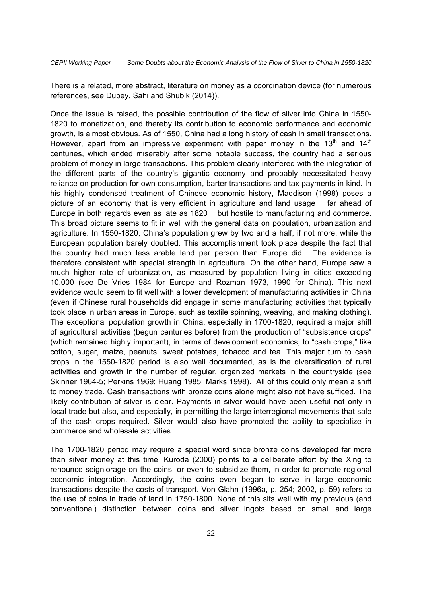There is a related, more abstract, literature on money as a coordination device (for numerous references, see Dubey, Sahi and Shubik (2014)).

Once the issue is raised, the possible contribution of the flow of silver into China in 1550- 1820 to monetization, and thereby its contribution to economic performance and economic growth, is almost obvious. As of 1550, China had a long history of cash in small transactions. However, apart from an impressive experiment with paper money in the 13<sup>th</sup> and 14<sup>th</sup> centuries, which ended miserably after some notable success, the country had a serious problem of money in large transactions. This problem clearly interfered with the integration of the different parts of the country's gigantic economy and probably necessitated heavy reliance on production for own consumption, barter transactions and tax payments in kind. In his highly condensed treatment of Chinese economic history, Maddison (1998) poses a picture of an economy that is very efficient in agriculture and land usage − far ahead of Europe in both regards even as late as 1820 − but hostile to manufacturing and commerce. This broad picture seems to fit in well with the general data on population, urbanization and agriculture. In 1550-1820, China's population grew by two and a half, if not more, while the European population barely doubled. This accomplishment took place despite the fact that the country had much less arable land per person than Europe did. The evidence is therefore consistent with special strength in agriculture. On the other hand, Europe saw a much higher rate of urbanization, as measured by population living in cities exceeding 10,000 (see De Vries 1984 for Europe and Rozman 1973, 1990 for China). This next evidence would seem to fit well with a lower development of manufacturing activities in China (even if Chinese rural households did engage in some manufacturing activities that typically took place in urban areas in Europe, such as textile spinning, weaving, and making clothing). The exceptional population growth in China, especially in 1700-1820, required a major shift of agricultural activities (begun centuries before) from the production of "subsistence crops" (which remained highly important), in terms of development economics, to "cash crops," like cotton, sugar, maize, peanuts, sweet potatoes, tobacco and tea. This major turn to cash crops in the 1550-1820 period is also well documented, as is the diversification of rural activities and growth in the number of regular, organized markets in the countryside (see Skinner 1964-5; Perkins 1969; Huang 1985; Marks 1998). All of this could only mean a shift to money trade. Cash transactions with bronze coins alone might also not have sufficed. The likely contribution of silver is clear. Payments in silver would have been useful not only in local trade but also, and especially, in permitting the large interregional movements that sale of the cash crops required. Silver would also have promoted the ability to specialize in commerce and wholesale activities.

The 1700-1820 period may require a special word since bronze coins developed far more than silver money at this time. Kuroda (2000) points to a deliberate effort by the Xing to renounce seigniorage on the coins, or even to subsidize them, in order to promote regional economic integration. Accordingly, the coins even began to serve in large economic transactions despite the costs of transport. Von Glahn (1996a, p. 254; 2002, p. 59) refers to the use of coins in trade of land in 1750-1800. None of this sits well with my previous (and conventional) distinction between coins and silver ingots based on small and large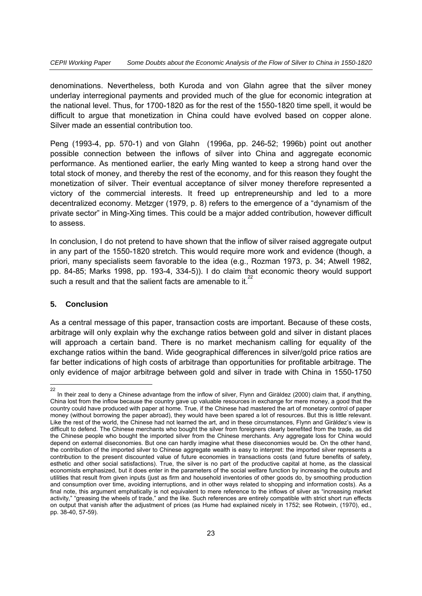denominations. Nevertheless, both Kuroda and von Glahn agree that the silver money underlay interregional payments and provided much of the glue for economic integration at the national level. Thus, for 1700-1820 as for the rest of the 1550-1820 time spell, it would be difficult to argue that monetization in China could have evolved based on copper alone. Silver made an essential contribution too.

Peng (1993-4, pp. 570-1) and von Glahn (1996a, pp. 246-52; 1996b) point out another possible connection between the inflows of silver into China and aggregate economic performance. As mentioned earlier, the early Ming wanted to keep a strong hand over the total stock of money, and thereby the rest of the economy, and for this reason they fought the monetization of silver. Their eventual acceptance of silver money therefore represented a victory of the commercial interests. It freed up entrepreneurship and led to a more decentralized economy. Metzger (1979, p. 8) refers to the emergence of a "dynamism of the private sector" in Ming-Xing times. This could be a major added contribution, however difficult to assess.

In conclusion, I do not pretend to have shown that the inflow of silver raised aggregate output in any part of the 1550-1820 stretch. This would require more work and evidence (though, a priori, many specialists seem favorable to the idea (e.g., Rozman 1973, p. 34; Atwell 1982, pp. 84-85; Marks 1998, pp. 193-4, 334-5)). I do claim that economic theory would support such a result and that the salient facts are amenable to it.

#### **5. Conclusion**

As a central message of this paper, transaction costs are important. Because of these costs, arbitrage will only explain why the exchange ratios between gold and silver in distant places will approach a certain band. There is no market mechanism calling for equality of the exchange ratios within the band. Wide geographical differences in silver/gold price ratios are far better indications of high costs of arbitrage than opportunities for profitable arbitrage. The only evidence of major arbitrage between gold and silver in trade with China in 1550-1750

 $\frac{1}{22}$  In their zeal to deny a Chinese advantage from the inflow of silver, Flynn and Giràldez (2000) claim that, if anything, China lost from the inflow because the country gave up valuable resources in exchange for mere money, a good that the country could have produced with paper at home. True, if the Chinese had mastered the art of monetary control of paper money (without borrowing the paper abroad), they would have been spared a lot of resources. But this is little relevant. Like the rest of the world, the Chinese had not learned the art, and in these circumstances, Flynn and Giràldez's view is difficult to defend. The Chinese merchants who bought the silver from foreigners clearly benefited from the trade, as did the Chinese people who bought the imported silver from the Chinese merchants. Any aggregate loss for China would depend on external diseconomies. But one can hardly imagine what these diseconomies would be. On the other hand, the contribution of the imported silver to Chinese aggregate wealth is easy to interpret: the imported silver represents a contribution to the present discounted value of future economies in transactions costs (and future benefits of safety, esthetic and other social satisfactions). True, the silver is no part of the productive capital at home, as the classical economists emphasized, but it does enter in the parameters of the social welfare function by increasing the outputs and utilities that result from given inputs (just as firm and household inventories of other goods do, by smoothing production and consumption over time, avoiding interruptions, and in other ways related to shopping and information costs). As a final note, this argument emphatically is not equivalent to mere reference to the inflows of silver as "increasing market activity," "greasing the wheels of trade," and the like. Such references are entirely compatible with strict short run effects on output that vanish after the adjustment of prices (as Hume had explained nicely in 1752; see Rotwein, (1970), ed., pp. 38-40, 57-59).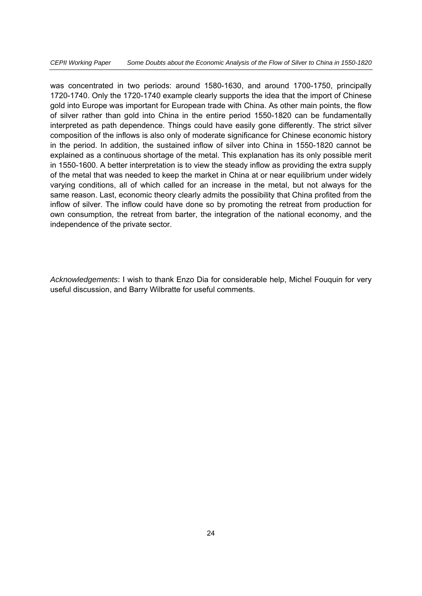was concentrated in two periods: around 1580-1630, and around 1700-1750, principally 1720-1740. Only the 1720-1740 example clearly supports the idea that the import of Chinese gold into Europe was important for European trade with China. As other main points, the flow of silver rather than gold into China in the entire period 1550-1820 can be fundamentally interpreted as path dependence. Things could have easily gone differently. The strict silver composition of the inflows is also only of moderate significance for Chinese economic history in the period. In addition, the sustained inflow of silver into China in 1550-1820 cannot be explained as a continuous shortage of the metal. This explanation has its only possible merit in 1550-1600. A better interpretation is to view the steady inflow as providing the extra supply of the metal that was needed to keep the market in China at or near equilibrium under widely varying conditions, all of which called for an increase in the metal, but not always for the same reason. Last, economic theory clearly admits the possibility that China profited from the inflow of silver. The inflow could have done so by promoting the retreat from production for own consumption, the retreat from barter, the integration of the national economy, and the independence of the private sector.

*Acknowledgements*: I wish to thank Enzo Dia for considerable help, Michel Fouquin for very useful discussion, and Barry Wilbratte for useful comments.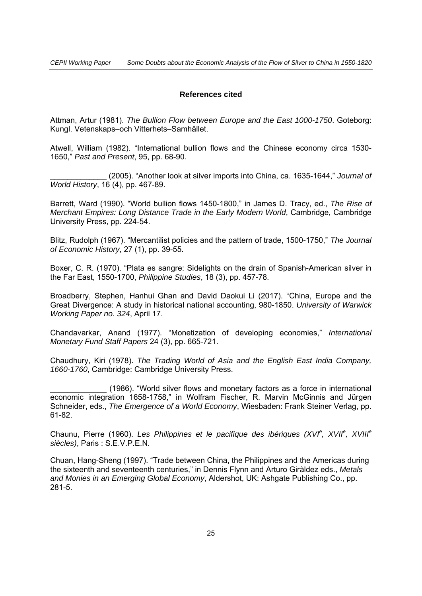#### **References cited**

Attman, Artur (1981). *The Bullion Flow between Europe and the East 1000-1750*. Goteborg: Kungl. Vetenskaps–och Vitterhets–Samhället.

Atwell, William (1982). "International bullion flows and the Chinese economy circa 1530- 1650," *Past and Present*, 95, pp. 68-90.

\_\_\_\_\_\_\_\_\_\_\_\_\_ (2005). "Another look at silver imports into China, ca. 1635-1644," *Journal of World History*, 16 (4), pp. 467-89.

Barrett, Ward (1990). "World bullion flows 1450-1800," in James D. Tracy, ed., *The Rise of Merchant Empires: Long Distance Trade in the Early Modern World*, Cambridge, Cambridge University Press, pp. 224-54.

Blitz, Rudolph (1967). "Mercantilist policies and the pattern of trade, 1500-1750," *The Journal of Economic History*, 27 (1), pp. 39-55.

Boxer, C. R. (1970). "Plata es sangre: Sidelights on the drain of Spanish-American silver in the Far East, 1550-1700, *Philippine Studies*, 18 (3), pp. 457-78.

Broadberry, Stephen, Hanhui Ghan and David Daokui Li (2017). "China, Europe and the Great Divergence: A study in historical national accounting, 980-1850. *University of Warwick Working Paper no. 324*, April 17.

Chandavarkar, Anand (1977). "Monetization of developing economies," *International Monetary Fund Staff Papers* 24 (3), pp. 665-721.

Chaudhury, Kiri (1978). *The Trading World of Asia and the English East India Company, 1660-1760*, Cambridge: Cambridge University Press.

\_\_\_\_\_\_\_\_\_\_\_\_\_ (1986). "World silver flows and monetary factors as a force in international economic integration 1658-1758," in Wolfram Fischer, R. Marvin McGinnis and Jürgen Schneider, eds., *The Emergence of a World Economy*, Wiesbaden: Frank Steiner Verlag, pp. 61-82.

Chaunu, Pierre (1960). Les Philippines et le pacifique des ibériques (XVI<sup>e</sup>, XVII<sup>e</sup>, XVIII<sup>e</sup> *siècles)*, Paris : S.E.V.P.E.N.

Chuan, Hang-Sheng (1997). "Trade between China, the Philippines and the Americas during the sixteenth and seventeenth centuries," in Dennis Flynn and Arturo Giràldez eds., *Metals and Monies in an Emerging Global Economy*, Aldershot, UK: Ashgate Publishing Co., pp. 281-5.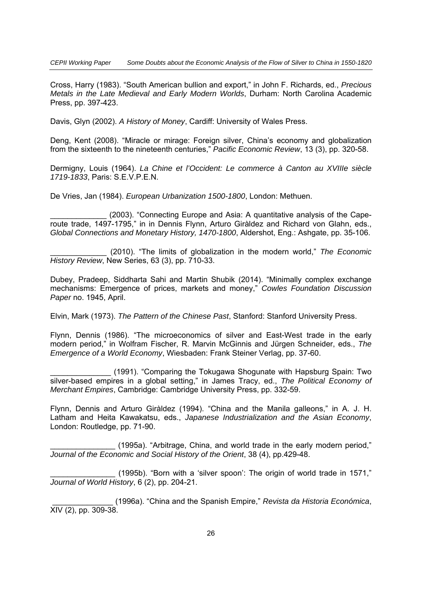Cross, Harry (1983). "South American bullion and export," in John F. Richards, ed., *Precious Metals in the Late Medieval and Early Modern Worlds*, Durham: North Carolina Academic Press, pp. 397-423.

Davis, Glyn (2002). *A History of Money*, Cardiff: University of Wales Press.

Deng, Kent (2008). "Miracle or mirage: Foreign silver, China's economy and globalization from the sixteenth to the nineteenth centuries," *Pacific Economic Review*, 13 (3), pp. 320-58.

Dermigny, Louis (1964). *La Chine et l'Occident: Le commerce à Canton au XVIIIe siècle 1719-1833*, Paris: S.E.V.P.E.N.

De Vries, Jan (1984). *European Urbanization 1500-1800*, London: Methuen.

(2003). "Connecting Europe and Asia: A quantitative analysis of the Caperoute trade, 1497-1795," in in Dennis Flynn, Arturo Giràldez and Richard von Glahn, eds., *Global Connections and Monetary History, 1470-1800*, Aldershot, Eng.: Ashgate, pp. 35-106.

\_\_\_\_\_\_\_\_\_\_\_\_\_ (2010). "The limits of globalization in the modern world," *The Economic History Review*, New Series, 63 (3), pp. 710-33.

Dubey, Pradeep, Siddharta Sahi and Martin Shubik (2014). "Minimally complex exchange mechanisms: Emergence of prices, markets and money," *Cowles Foundation Discussion Paper* no. 1945, April.

Elvin, Mark (1973). *The Pattern of the Chinese Past*, Stanford: Stanford University Press.

Flynn, Dennis (1986). "The microeconomics of silver and East-West trade in the early modern period," in Wolfram Fischer, R. Marvin McGinnis and Jürgen Schneider, eds., *The Emergence of a World Economy*, Wiesbaden: Frank Steiner Verlag, pp. 37-60.

\_\_\_\_\_\_\_\_\_\_\_\_\_\_ (1991). "Comparing the Tokugawa Shogunate with Hapsburg Spain: Two silver-based empires in a global setting," in James Tracy, ed., *The Political Economy of Merchant Empires*, Cambridge: Cambridge University Press, pp. 332-59.

Flynn, Dennis and Arturo Giràldez (1994). "China and the Manila galleons," in A. J. H. Latham and Heita Kawakatsu, eds., *Japanese Industrialization and the Asian Economy*, London: Routledge, pp. 71-90.

\_\_\_\_\_\_\_\_\_\_\_\_\_\_\_ (1995a). "Arbitrage, China, and world trade in the early modern period," *Journal of the Economic and Social History of the Orient*, 38 (4), pp.429-48.

(1995b). "Born with a 'silver spoon': The origin of world trade in 1571," *Journal of World History*, 6 (2), pp. 204-21.

 \_\_\_\_\_\_\_\_\_\_\_\_\_\_ (1996a). "China and the Spanish Empire," *Revista da Historia Económica*,  $XIV (2)$ , pp. 309-38.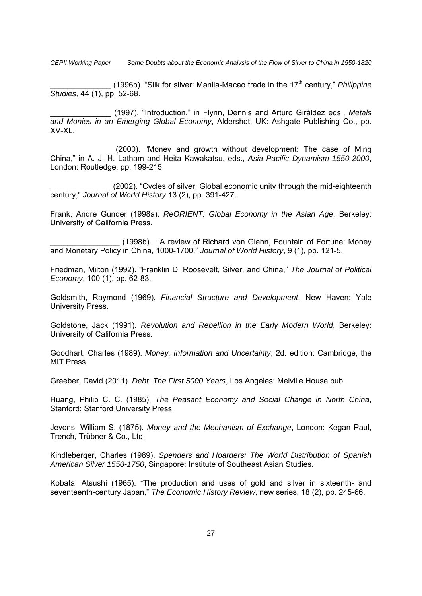*CEPII Working Paper Some Doubts about the Economic Analysis of the Flow of Silver to China in 1550-1820* 

\_\_\_\_\_\_\_\_\_\_\_\_\_\_ (1996b). "Silk for silver: Manila-Macao trade in the 17th century," *Philippine Studies,* 44 (1), pp. 52-68.

\_\_\_\_\_\_\_\_\_\_\_\_\_\_ (1997). "Introduction," in Flynn, Dennis and Arturo Giràldez eds., *Metals and Monies in an Emerging Global Economy*, Aldershot, UK: Ashgate Publishing Co., pp. XV-XL.

(2000). "Money and growth without development: The case of Ming China," in A. J. H. Latham and Heita Kawakatsu, eds., *Asia Pacific Dynamism 1550-2000*, London: Routledge, pp. 199-215.

\_\_\_\_\_\_\_\_\_\_\_\_\_\_ (2002). "Cycles of silver: Global economic unity through the mid-eighteenth century," *Journal of World History* 13 (2), pp. 391-427.

Frank, Andre Gunder (1998a). *ReORIENT: Global Economy in the Asian Age*, Berkeley: University of California Press.

(1998b). "A review of Richard von Glahn, Fountain of Fortune: Money and Monetary Policy in China, 1000-1700," *Journal of World History*, 9 (1), pp. 121-5.

Friedman, Milton (1992). "Franklin D. Roosevelt, Silver, and China," *The Journal of Political Economy*, 100 (1), pp. 62-83.

Goldsmith, Raymond (1969). *Financial Structure and Development*, New Haven: Yale University Press.

Goldstone, Jack (1991). *Revolution and Rebellion in the Early Modern World*, Berkeley: University of California Press.

Goodhart, Charles (1989). *Money, Information and Uncertainty*, 2d. edition: Cambridge, the MIT Press.

Graeber, David (2011). *Debt: The First 5000 Years*, Los Angeles: Melville House pub.

Huang, Philip C. C. (1985). *The Peasant Economy and Social Change in North China*, Stanford: Stanford University Press.

Jevons, William S. (1875). *Money and the Mechanism of Exchange*, London: Kegan Paul, Trench, Trübner & Co., Ltd.

Kindleberger, Charles (1989). *Spenders and Hoarders: The World Distribution of Spanish American Silver 1550-1750*, Singapore: Institute of Southeast Asian Studies.

Kobata, Atsushi (1965). "The production and uses of gold and silver in sixteenth- and seventeenth-century Japan," *The Economic History Review*, new series, 18 (2), pp. 245-66.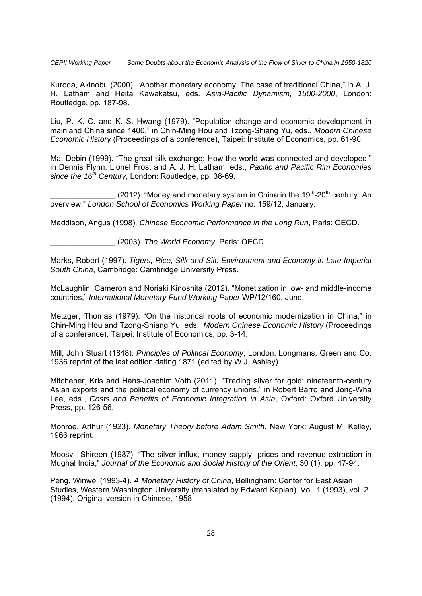Kuroda, Akinobu (2000). "Another monetary economy: The case of traditional China," in A. J. H. Latham and Heita Kawakatsu, eds. *Asia-Pacific Dynamism, 1500-2000*, London: Routledge, pp. 187-98.

Liu, P. K. C. and K. S. Hwang (1979). "Population change and economic development in mainland China since 1400," in Chin-Ming Hou and Tzong-Shiang Yu, eds., *Modern Chinese Economic History* (Proceedings of a conference), Taipei: Institute of Economics, pp. 61-90.

Ma, Debin (1999). "The great silk exchange: How the world was connected and developed," in Dennis Flynn, Lionel Frost and A. J. H. Latham, eds., *Pacific and Pacific Rim Economies*  since the 16<sup>th</sup> Century, London: Routledge, pp. 38-69.

(2012). "Money and monetary system in China in the  $19<sup>th</sup>-20<sup>th</sup>$  century: An overview," *London School of Economics Working Paper* no. 159/12, January.

Maddison, Angus (1998). *Chinese Economic Performance in the Long Run*, Paris: OECD.

\_\_\_\_\_\_\_\_\_\_\_\_\_\_\_ (2003). *The World Economy*, Paris: OECD.

Marks, Robert (1997). *Tigers, Rice, Silk and Silt: Environment and Economy in Late Imperial South China*, Cambridge: Cambridge University Press.

McLaughlin, Cameron and Noriaki Kinoshita (2012). "Monetization in low- and middle-income countries," *International Monetary Fund Working Paper* WP/12/160, June.

Metzger, Thomas (1979). "On the historical roots of economic modernization in China," in Chin-Ming Hou and Tzong-Shiang Yu, eds., *Modern Chinese Economic History* (Proceedings of a conference), Taipei: Institute of Economics, pp. 3-14.

Mill, John Stuart (1848). *Principles of Political Economy*, London: Longmans, Green and Co. 1936 reprint of the last edition dating 1871 (edited by W.J. Ashley).

Mitchener, Kris and Hans-Joachim Voth (2011). "Trading silver for gold: nineteenth-century Asian exports and the political economy of currency unions," in Robert Barro and Jong-Wha Lee, eds., *Costs and Benefits of Economic Integration in Asia*, Oxford: Oxford University Press, pp. 126-56.

Monroe, Arthur (1923). *Monetary Theory before Adam Smith*, New York: August M. Kelley, 1966 reprint.

Moosvi, Shireen (1987). "The silver influx, money supply, prices and revenue-extraction in Mughal India," *Journal of the Economic and Social History of the Orient*, 30 (1), pp. 47-94.

Peng, Winwei (1993-4). *A Monetary History of China*, Bellingham: Center for East Asian Studies, Western Washington University (translated by Edward Kaplan). Vol. 1 (1993), vol. 2 (1994). Original version in Chinese, 1958.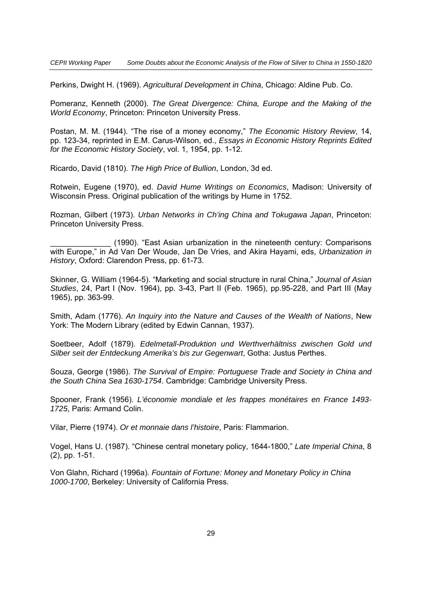Perkins, Dwight H. (1969). *Agricultural Development in China*, Chicago: Aldine Pub. Co.

Pomeranz, Kenneth (2000). *The Great Divergence: China, Europe and the Making of the World Economy*, Princeton: Princeton University Press.

Postan, M. M. (1944). "The rise of a money economy," *The Economic History Review*, 14, pp. 123-34, reprinted in E.M. Carus-Wilson, ed., *Essays in Economic History Reprints Edited for the Economic History Society*, vol. 1, 1954, pp. 1-12.

Ricardo, David (1810). *The High Price of Bullion*, London, 3d ed.

Rotwein, Eugene (1970), ed. *David Hume Writings on Economics*, Madison: University of Wisconsin Press. Original publication of the writings by Hume in 1752.

Rozman, Gilbert (1973). *Urban Networks in Ch'ing China and Tokugawa Japan*, Princeton: Princeton University Press.

(1990). "East Asian urbanization in the nineteenth century: Comparisons with Europe," in Ad Van Der Woude, Jan De Vries, and Akira Hayami, eds, *Urbanization in History*, Oxford: Clarendon Press, pp. 61-73.

Skinner, G. William (1964-5). "Marketing and social structure in rural China," *Journal of Asian Studies*, 24, Part I (Nov. 1964), pp. 3-43, Part II (Feb. 1965), pp.95-228, and Part III (May 1965), pp. 363-99.

Smith, Adam (1776). *An Inquiry into the Nature and Causes of the Wealth of Nations*, New York: The Modern Library (edited by Edwin Cannan, 1937).

Soetbeer, Adolf (1879). *Edelmetall-Produktion und Werthverhältniss zwischen Gold und Silber seit der Entdeckung Amerika's bis zur Gegenwart*, Gotha: Justus Perthes.

Souza, George (1986). *The Survival of Empire: Portuguese Trade and Society in China and the South China Sea 1630-1754*. Cambridge: Cambridge University Press.

Spooner, Frank (1956). *L'économie mondiale et les frappes monétaires en France 1493- 1725*, Paris: Armand Colin.

Vilar, Pierre (1974). *Or et monnaie dans l'histoire*, Paris: Flammarion.

Vogel, Hans U. (1987). "Chinese central monetary policy, 1644-1800," *Late Imperial China*, 8 (2), pp. 1-51.

Von Glahn, Richard (1996a). *Fountain of Fortune: Money and Monetary Policy in China 1000-1700*, Berkeley: University of California Press.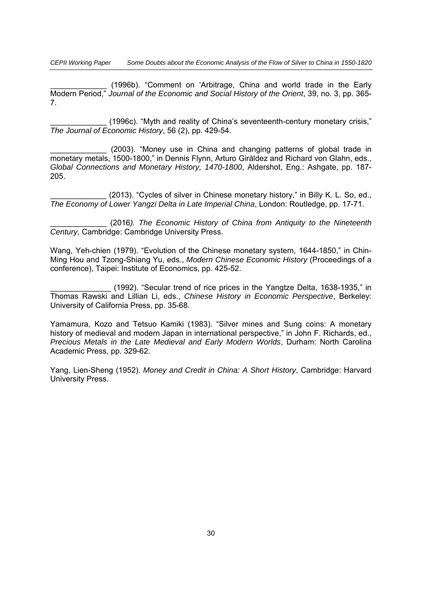*CEPII Working Paper Some Doubts about the Economic Analysis of the Flow of Silver to China in 1550-1820* 

(1996b). "Comment on 'Arbitrage, China and world trade in the Early Modern Period," *Journal of the Economic and Social History of the Orient*, 39, no. 3, pp. 365- 7.

\_\_\_\_\_\_\_\_\_\_\_\_\_ (1996c). "Myth and reality of China's seventeenth-century monetary crisis," *The Journal of Economic History*, 56 (2), pp. 429-54.

(2003). "Money use in China and changing patterns of global trade in monetary metals, 1500-1800," in Dennis Flynn, Arturo Giràldez and Richard von Glahn, eds., *Global Connections and Monetary History, 1470-1800*, Aldershot, Eng.: Ashgate, pp. 187- 205.

(2013). "Cycles of silver in Chinese monetary history," in Billy K. L. So, ed., *The Economy of Lower Yangzi Delta in Late Imperial China*, London: Routledge, pp. 17-71.

\_\_\_\_\_\_\_\_\_\_\_\_\_ (2016*). The Economic History of China from Antiquity to the Nineteenth Century*, Cambridge: Cambridge University Press.

Wang, Yeh-chien (1979). "Evolution of the Chinese monetary system, 1644-1850," in Chin-Ming Hou and Tzong-Shiang Yu, eds., *Modern Chinese Economic History* (Proceedings of a conference), Taipei: Institute of Economics, pp. 425-52.

\_\_\_\_\_\_\_\_\_\_\_\_\_\_ (1992). "Secular trend of rice prices in the Yangtze Delta, 1638-1935," in Thomas Rawski and Lillian Li, eds., *Chinese History in Economic Perspective*, Berkeley: University of California Press, pp. 35-68.

Yamamura, Kozo and Tetsuo Kamiki (1983). "Silver mines and Sung coins: A monetary history of medieval and modern Japan in international perspective," in John F. Richards, ed., *Precious Metals in the Late Medieval and Early Modern Worlds*, Durham: North Carolina Academic Press, pp. 329-62.

Yang, Lien-Sheng (1952). *Money and Credit in China: A Short History*, Cambridge: Harvard University Press.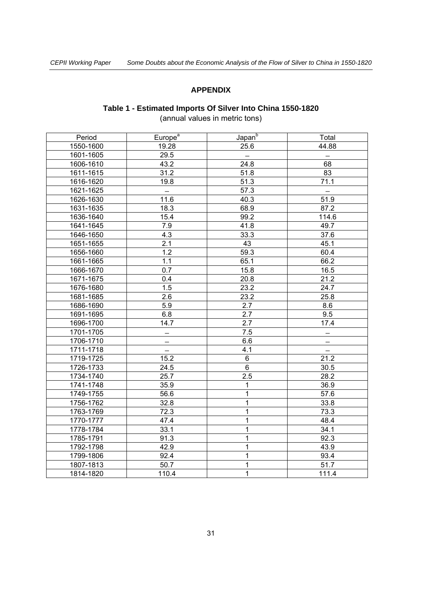#### **APPENDIX**

### **Table 1 - Estimated Imports Of Silver Into China 1550-1820**

(annual values in metric tons)

| Period    | Europe <sup>a</sup> | Japan <sup>b</sup> | Total             |
|-----------|---------------------|--------------------|-------------------|
| 1550-1600 | 19.28               | 25.6               | 44.88             |
| 1601-1605 | 29.5                |                    |                   |
| 1606-1610 | 43.2                | 24.8               | 68                |
| 1611-1615 | 31.2                | 51.8               | 83                |
| 1616-1620 | 19.8                | 51.3               | 71.1              |
| 1621-1625 |                     | $\overline{57.3}$  |                   |
| 1626-1630 | 11.6                | 40.3               | 51.9              |
| 1631-1635 | 18.3                | 68.9               | 87.2              |
| 1636-1640 | 15.4                | 99.2               | 114.6             |
| 1641-1645 | 7.9                 | 41.8               | 49.7              |
| 1646-1650 | 4.3                 | 33.3               | 37.6              |
| 1651-1655 | 2.1                 | 43                 | 45.1              |
| 1656-1660 | 1.2                 | 59.3               | 60.4              |
| 1661-1665 | 1.1                 | 65.1               | 66.2              |
| 1666-1670 | 0.7                 | 15.8               | 16.5              |
| 1671-1675 | 0.4                 | 20.8               | 21.2              |
| 1676-1680 | 1.5                 | 23.2               | 24.7              |
| 1681-1685 | 2.6                 | 23.2               | 25.8              |
| 1686-1690 | 5.9                 | 2.7                | 8.6               |
| 1691-1695 | 6.8                 | 2.7                | 9.5               |
| 1696-1700 | 14.7                | 2.7                | 17.4              |
| 1701-1705 | $\qquad \qquad -$   | 7.5                | -                 |
| 1706-1710 | —                   | 6.6                | $\qquad \qquad -$ |
| 1711-1718 |                     | 4.1                |                   |
| 1719-1725 | 15.2                | $\,6\,$            | 21.2              |
| 1726-1733 | 24.5                | $\overline{6}$     | 30.5              |
| 1734-1740 | 25.7                | 2.5                | 28.2              |
| 1741-1748 | 35.9                | 1                  | 36.9              |
| 1749-1755 | 56.6                | 1                  | 57.6              |
| 1756-1762 | 32.8                | $\mathbf{1}$       | 33.8              |
| 1763-1769 | 72.3                | $\mathbf 1$        | 73.3              |
| 1770-1777 | 47.4                | 1                  | 48.4              |
| 1778-1784 | 33.1                | 1                  | 34.1              |
| 1785-1791 | 91.3                | 1                  | 92.3              |
| 1792-1798 | 42.9                | 1                  | 43.9              |
| 1799-1806 | 92.4                | 1                  | 93.4              |
| 1807-1813 | 50.7                | $\mathbf{1}$       | 51.7              |
| 1814-1820 | 110.4               | 1                  | 111.4             |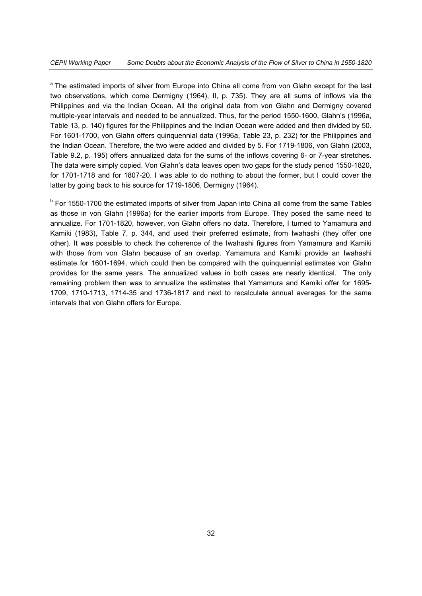<sup>a</sup> The estimated imports of silver from Europe into China all come from von Glahn except for the last two observations, which come Dermigny (1964), II, p. 735). They are all sums of inflows via the Philippines and via the Indian Ocean. All the original data from von Glahn and Dermigny covered multiple-year intervals and needed to be annualized. Thus, for the period 1550-1600, Glahn's (1996a, Table 13, p. 140) figures for the Philippines and the Indian Ocean were added and then divided by 50. For 1601-1700, von Glahn offers quinquennial data (1996a, Table 23, p. 232) for the Philippines and the Indian Ocean. Therefore, the two were added and divided by 5. For 1719-1806, von Glahn (2003, Table 9.2, p. 195) offers annualized data for the sums of the inflows covering 6- or 7-year stretches. The data were simply copied. Von Glahn's data leaves open two gaps for the study period 1550-1820, for 1701-1718 and for 1807-20. I was able to do nothing to about the former, but I could cover the latter by going back to his source for 1719-1806, Dermigny (1964).

<sup>b</sup> For 1550-1700 the estimated imports of silver from Japan into China all come from the same Tables as those in von Glahn (1996a) for the earlier imports from Europe. They posed the same need to annualize. For 1701-1820, however, von Glahn offers no data. Therefore, I turned to Yamamura and Kamiki (1983), Table 7, p. 344, and used their preferred estimate, from Iwahashi (they offer one other). It was possible to check the coherence of the Iwahashi figures from Yamamura and Kamiki with those from von Glahn because of an overlap. Yamamura and Kamiki provide an Iwahashi estimate for 1601-1694, which could then be compared with the quinquennial estimates von Glahn provides for the same years. The annualized values in both cases are nearly identical. The only remaining problem then was to annualize the estimates that Yamamura and Kamiki offer for 1695- 1709, 1710-1713, 1714-35 and 1736-1817 and next to recalculate annual averages for the same intervals that von Glahn offers for Europe.